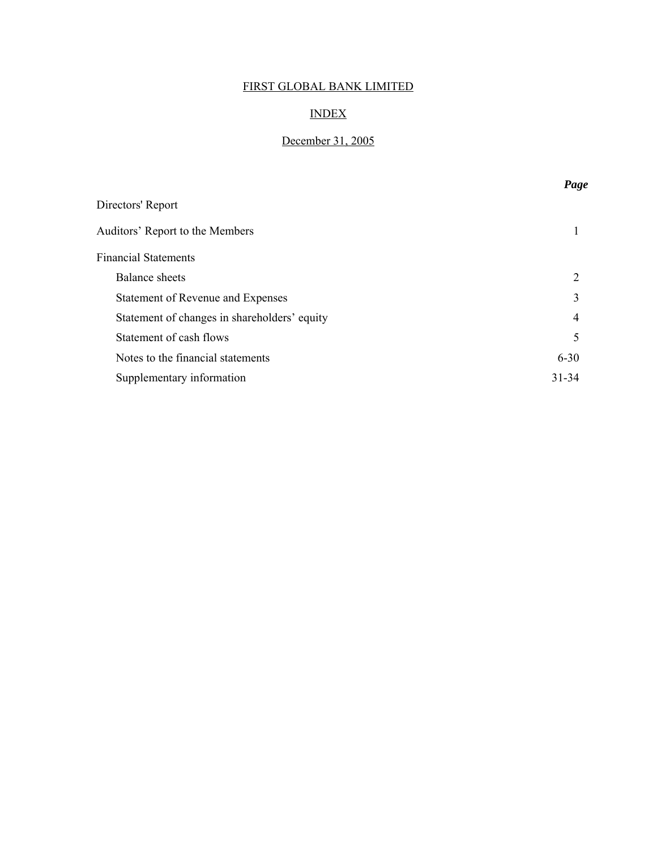## INDEX

## December 31, 2005

|                                              | Page      |
|----------------------------------------------|-----------|
| Directors' Report                            |           |
| Auditors' Report to the Members              |           |
| <b>Financial Statements</b>                  |           |
| <b>Balance</b> sheets                        | 2         |
| Statement of Revenue and Expenses            | 3         |
| Statement of changes in shareholders' equity | 4         |
| Statement of cash flows                      | 5         |
| Notes to the financial statements            | $6 - 30$  |
| Supplementary information                    | $31 - 34$ |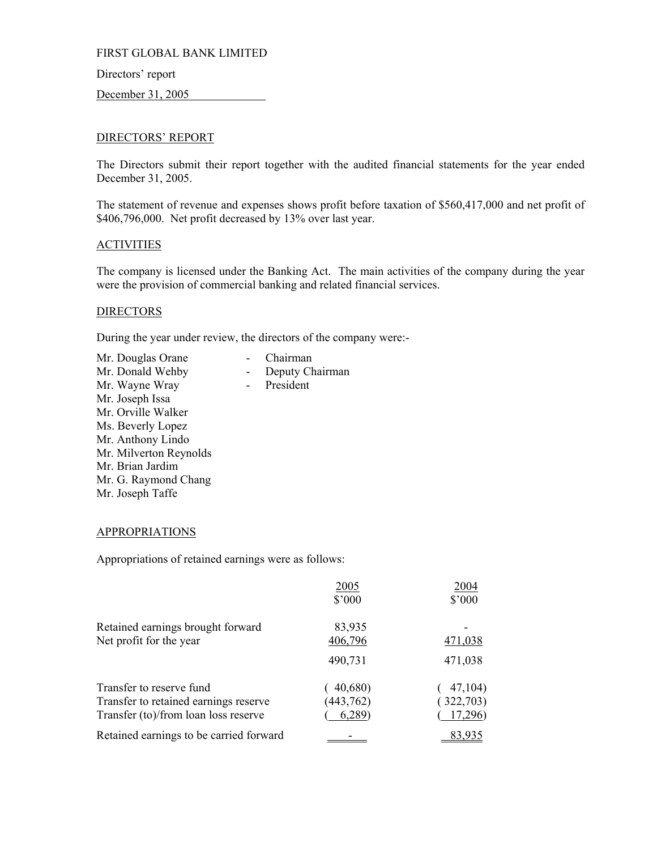Directors' report

December 31, 2005

## DIRECTORS' REPORT

The Directors submit their report together with the audited financial statements for the year ended December 31, 2005.

The statement of revenue and expenses shows profit before taxation of \$560,417,000 and net profit of \$406,796,000. Net profit decreased by 13% over last year.

## **ACTIVITIES**

The company is licensed under the Banking Act. The main activities of the company during the year were the provision of commercial banking and related financial services.

Deputy Chairman

## **DIRECTORS**

During the year under review, the directors of the company were:-

| Mr. Douglas Orane      | Chairman  |
|------------------------|-----------|
| Mr. Donald Wehby       | Deputy Ch |
| Mr. Wayne Wray         | President |
| Mr. Joseph Issa        |           |
| Mr. Orville Walker     |           |
| Ms. Beverly Lopez      |           |
| Mr. Anthony Lindo      |           |
| Mr. Milverton Reynolds |           |
| Mr. Brian Jardim       |           |
| Mr. G. Raymond Chang   |           |
| Mr. Joseph Taffe       |           |
|                        |           |

## APPROPRIATIONS

Appropriations of retained earnings were as follows:

|                                                                                                           | 2005<br>$$^{\prime}000$         | 2004<br>\$'000                  |
|-----------------------------------------------------------------------------------------------------------|---------------------------------|---------------------------------|
| Retained earnings brought forward<br>Net profit for the year                                              | 83,935<br>406,796               | 471,038                         |
|                                                                                                           | 490,731                         | 471,038                         |
| Transfer to reserve fund<br>Transfer to retained earnings reserve<br>Transfer (to)/from loan loss reserve | (40,680)<br>(443, 762)<br>6,289 | 47,104)<br>(322,703)<br>17,296) |
| Retained earnings to be carried forward                                                                   |                                 | 83.935                          |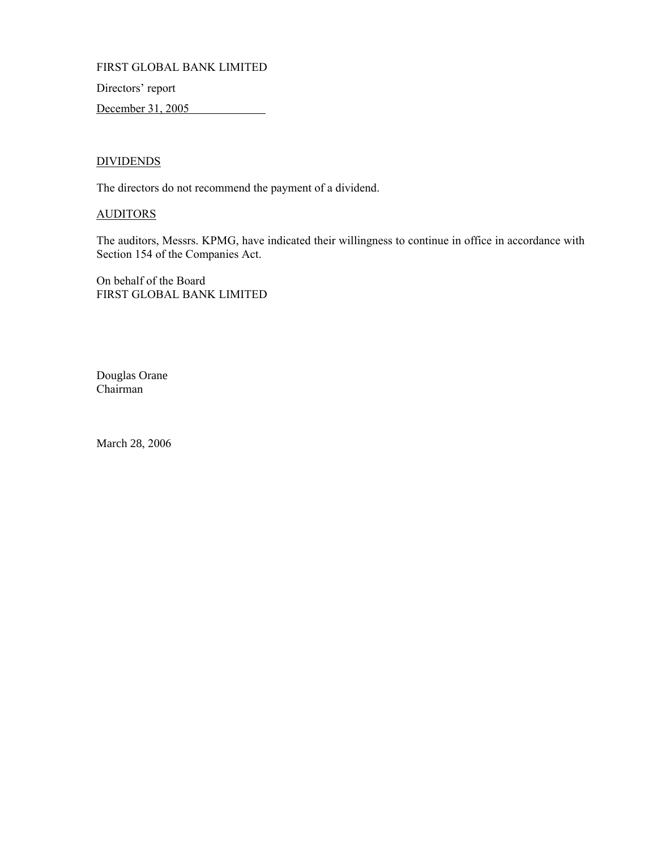Directors' report

December 31, 2005

## **DIVIDENDS**

The directors do not recommend the payment of a dividend.

## **AUDITORS**

The auditors, Messrs. KPMG, have indicated their willingness to continue in office in accordance with Section 154 of the Companies Act.

On behalf of the Board FIRST GLOBAL BANK LIMITED

Douglas Orane Chairman

March 28, 2006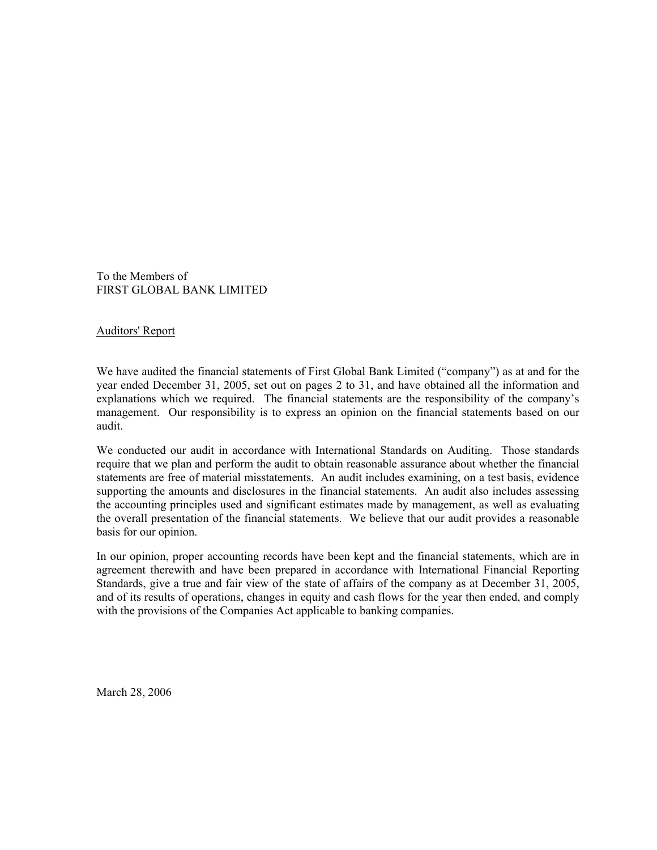To the Members of FIRST GLOBAL BANK LIMITED

Auditors' Report

We have audited the financial statements of First Global Bank Limited ("company") as at and for the year ended December 31, 2005, set out on pages 2 to 31, and have obtained all the information and explanations which we required. The financial statements are the responsibility of the company's management. Our responsibility is to express an opinion on the financial statements based on our audit.

We conducted our audit in accordance with International Standards on Auditing. Those standards require that we plan and perform the audit to obtain reasonable assurance about whether the financial statements are free of material misstatements. An audit includes examining, on a test basis, evidence supporting the amounts and disclosures in the financial statements. An audit also includes assessing the accounting principles used and significant estimates made by management, as well as evaluating the overall presentation of the financial statements. We believe that our audit provides a reasonable basis for our opinion.

In our opinion, proper accounting records have been kept and the financial statements, which are in agreement therewith and have been prepared in accordance with International Financial Reporting Standards, give a true and fair view of the state of affairs of the company as at December 31, 2005, and of its results of operations, changes in equity and cash flows for the year then ended, and comply with the provisions of the Companies Act applicable to banking companies.

March 28, 2006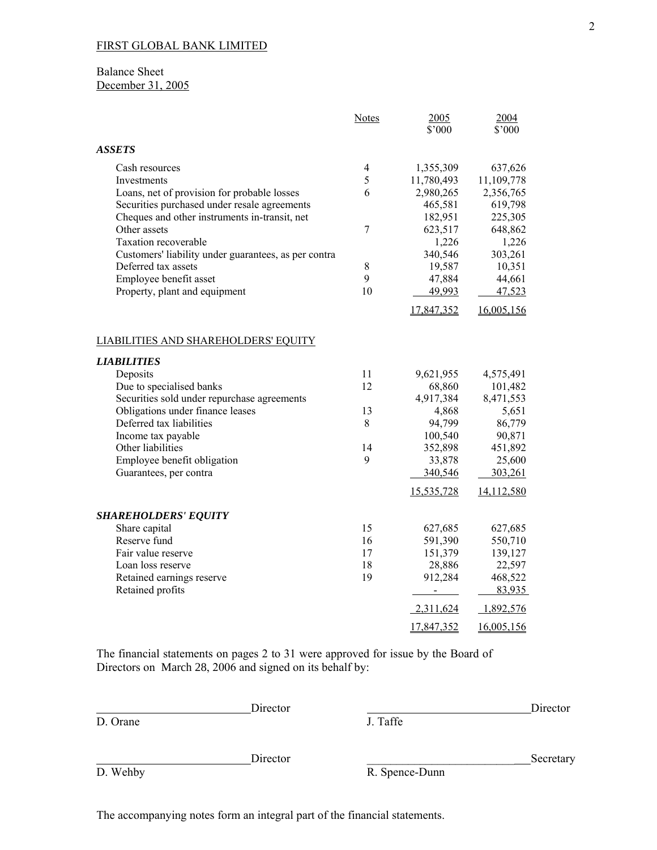## Balance Sheet December 31, 2005

|                                                      | Notes          | 2005<br>\$'000    | 2004<br>\$'000    |
|------------------------------------------------------|----------------|-------------------|-------------------|
| <b>ASSETS</b>                                        |                |                   |                   |
| Cash resources                                       | 4              | 1,355,309         | 637,626           |
| Investments                                          | 5              | 11,780,493        | 11,109,778        |
| Loans, net of provision for probable losses          | 6              | 2,980,265         | 2,356,765         |
| Securities purchased under resale agreements         |                | 465,581           | 619,798           |
| Cheques and other instruments in-transit, net        |                | 182,951           | 225,305           |
| Other assets                                         | $\overline{7}$ | 623,517           | 648,862           |
| Taxation recoverable                                 |                | 1,226             | 1,226             |
| Customers' liability under guarantees, as per contra |                | 340,546           | 303,261           |
| Deferred tax assets                                  | 8              | 19,587            | 10,351            |
| Employee benefit asset                               | 9              | 47,884            | 44,661            |
| Property, plant and equipment                        | 10             | 49,993            | 47,523            |
|                                                      |                | 17,847,352        | 16,005,156        |
| LIABILITIES AND SHAREHOLDERS' EQUITY                 |                |                   |                   |
| <b>LIABILITIES</b>                                   |                |                   |                   |
| Deposits                                             | 11             | 9,621,955         | 4,575,491         |
| Due to specialised banks                             | 12             | 68,860            | 101,482           |
| Securities sold under repurchase agreements          |                | 4,917,384         | 8,471,553         |
| Obligations under finance leases                     | 13             | 4,868             | 5,651             |
| Deferred tax liabilities                             | 8              | 94,799            | 86,779            |
| Income tax payable                                   |                | 100,540           | 90,871            |
| Other liabilities                                    | 14             | 352,898           | 451,892           |
| Employee benefit obligation                          | 9              | 33,878<br>340,546 | 25,600<br>303,261 |
| Guarantees, per contra                               |                |                   |                   |
|                                                      |                | 15,535,728        | 14,112,580        |
| <b>SHAREHOLDERS' EQUITY</b>                          |                |                   |                   |
| Share capital                                        | 15             | 627,685           | 627,685           |
| Reserve fund                                         | 16             | 591,390           | 550,710           |
| Fair value reserve                                   | 17             | 151,379           | 139,127           |
| Loan loss reserve                                    | 18             | 28,886            | 22,597            |
| Retained earnings reserve                            | 19             | 912,284           | 468,522           |
| Retained profits                                     |                | $\blacksquare$    | 83,935            |
|                                                      |                | 2,311,624         | 1,892,576         |
|                                                      |                | 17,847,352        | 16,005,156        |

The financial statements on pages 2 to 31 were approved for issue by the Board of Directors on March 28, 2006 and signed on its behalf by:

|          | Director |          | Director  |
|----------|----------|----------|-----------|
| D. Orane |          | J. Taffe |           |
|          |          |          |           |
|          | Director |          | Secretary |

D. Wehby R. Spence-Dunn

The accompanying notes form an integral part of the financial statements.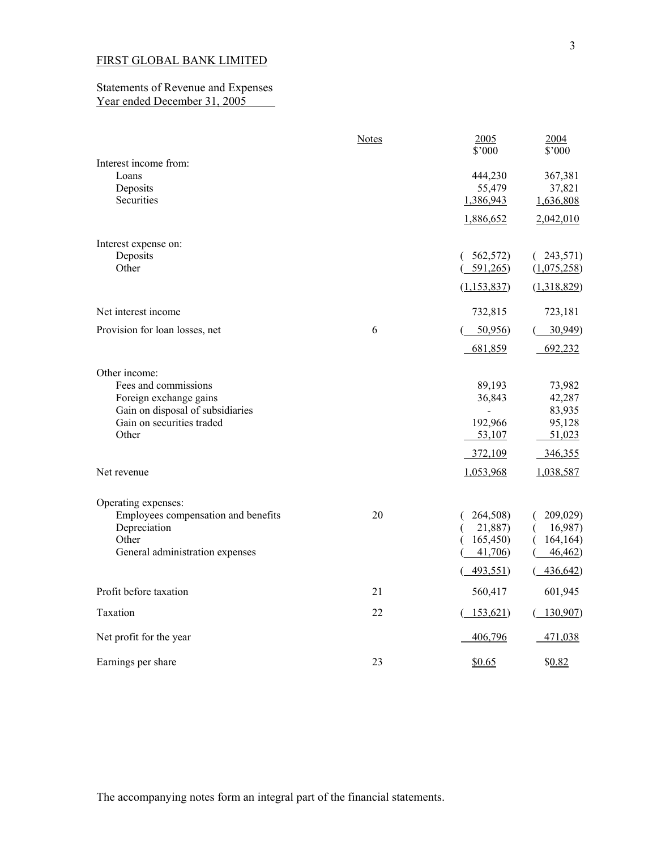### Statements of Revenue and Expenses Year ended December 31, 2005

|                                                                                                                                                          | <b>Notes</b> | 2005<br>\$'000                                   | 2004<br>\$'000                                            |
|----------------------------------------------------------------------------------------------------------------------------------------------------------|--------------|--------------------------------------------------|-----------------------------------------------------------|
| Interest income from:<br>Loans<br>Deposits<br>Securities                                                                                                 |              | 444,230<br>55,479<br>1,386,943                   | 367,381<br>37,821<br>1,636,808                            |
|                                                                                                                                                          |              | 1,886,652                                        | 2,042,010                                                 |
| Interest expense on:<br>Deposits<br>Other                                                                                                                |              | 562,572)<br>591,265                              | (243,571)<br>(1,075,258)                                  |
| Net interest income                                                                                                                                      |              | (1, 153, 837)<br>732,815                         | (1,318,829)<br>723,181                                    |
| Provision for loan losses, net                                                                                                                           | 6            | 50,956<br>681,859                                | 30,949<br>692,232                                         |
| Other income:<br>Fees and commissions<br>Foreign exchange gains<br>Gain on disposal of subsidiaries<br>Gain on securities traded<br>Other<br>Net revenue |              | 89,193<br>36,843<br>192,966<br>53,107<br>372,109 | 73,982<br>42,287<br>83,935<br>95,128<br>51,023<br>346,355 |
| Operating expenses:<br>Employees compensation and benefits<br>Depreciation                                                                               | 20           | 1,053,968<br>264,508)<br>21,887)                 | 1,038,587<br>209,029)<br>16,987)                          |
| Other<br>General administration expenses                                                                                                                 |              | 165,450<br>41,706<br>493,551)                    | 164, 164)<br>46,462<br>436,642)                           |
| Profit before taxation                                                                                                                                   | 21           | 560,417                                          | 601,945                                                   |
| Taxation                                                                                                                                                 | 22           | (153, 621)                                       | 130,907                                                   |
| Net profit for the year                                                                                                                                  |              | 406,796                                          | 471,038                                                   |
| Earnings per share                                                                                                                                       | 23           | \$0.65                                           | \$0.82                                                    |

The accompanying notes form an integral part of the financial statements.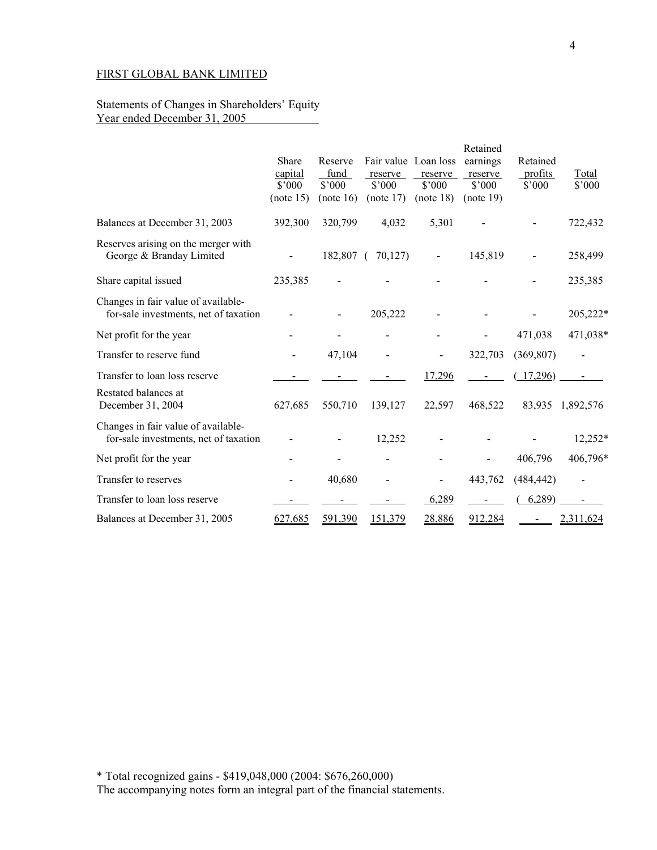### Statements of Changes in Shareholders' Equity Year ended December 31, 2005

|                                                                              | Share<br>capital<br>$$^{\circ}000$<br>(note 15) | Reserve<br>fund<br>$$^{\prime}000$<br>(note 16) | Fair value Loan loss<br>reserve<br>\$2000<br>(note 17) | reserve<br>$$^{\circ}000$<br>(note 18) | Retained<br>earnings<br>reserve<br>$$^{\circ}000$<br>(note 19) | Retained<br>profits<br>$$^{\circ}000$ | Total<br>$$^{\circ}000$ |
|------------------------------------------------------------------------------|-------------------------------------------------|-------------------------------------------------|--------------------------------------------------------|----------------------------------------|----------------------------------------------------------------|---------------------------------------|-------------------------|
| Balances at December 31, 2003                                                | 392,300                                         | 320,799                                         | 4,032                                                  | 5,301                                  |                                                                |                                       | 722,432                 |
| Reserves arising on the merger with<br>George & Branday Limited              |                                                 | 182,807                                         | 70,127<br>- 1                                          |                                        | 145,819                                                        |                                       | 258,499                 |
| Share capital issued                                                         | 235,385                                         |                                                 |                                                        |                                        |                                                                |                                       | 235,385                 |
| Changes in fair value of available-<br>for-sale investments, net of taxation |                                                 |                                                 | 205,222                                                |                                        |                                                                |                                       | 205,222*                |
| Net profit for the year                                                      |                                                 |                                                 |                                                        |                                        |                                                                | 471,038                               | 471,038*                |
| Transfer to reserve fund                                                     |                                                 | 47,104                                          |                                                        |                                        | 322,703                                                        | (369, 807)                            |                         |
| Transfer to loan loss reserve                                                |                                                 |                                                 |                                                        | 17,296                                 |                                                                | 17,296                                |                         |
| Restated balances at<br>December 31, 2004                                    | 627,685                                         | 550,710                                         | 139,127                                                | 22,597                                 | 468,522                                                        | 83,935                                | 1,892,576               |
| Changes in fair value of available-<br>for-sale investments, net of taxation |                                                 |                                                 | 12,252                                                 |                                        |                                                                |                                       | 12,252*                 |
| Net profit for the year                                                      |                                                 |                                                 |                                                        |                                        |                                                                | 406,796                               | 406,796*                |
| Transfer to reserves                                                         |                                                 | 40,680                                          |                                                        |                                        | 443,762                                                        | (484, 442)                            |                         |
| Transfer to loan loss reserve                                                |                                                 |                                                 |                                                        | 6,289                                  |                                                                | 6,289                                 |                         |
| Balances at December 31, 2005                                                | 627,685                                         | 591,390                                         | 151,379                                                | 28,886                                 | 912,284                                                        |                                       | 2,311,624               |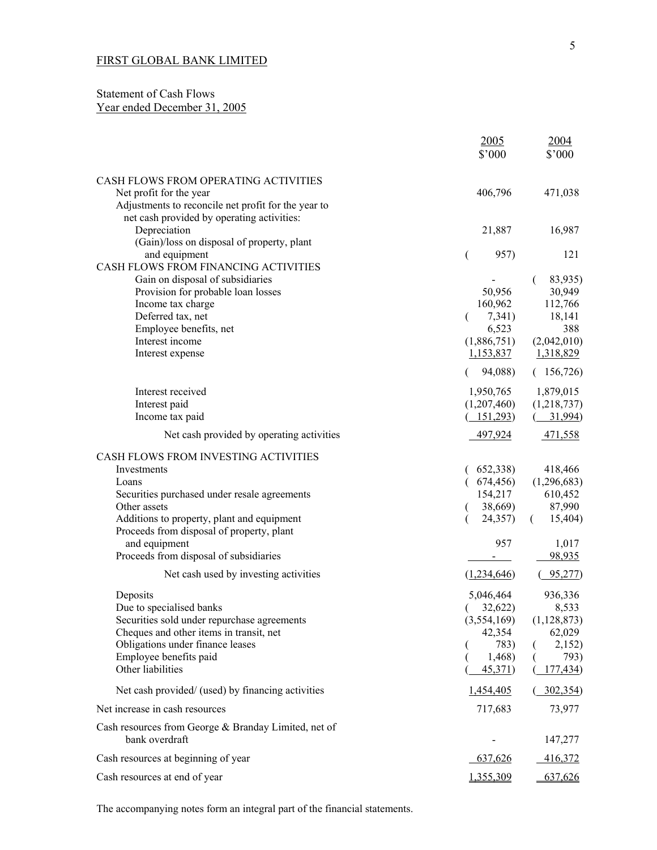## Statement of Cash Flows Year ended December 31, 2005

|                                                                                                                                                                                                                                                                                    | 2005<br>\$'000                                                                                  | 2004<br>\$'000                                                                        |
|------------------------------------------------------------------------------------------------------------------------------------------------------------------------------------------------------------------------------------------------------------------------------------|-------------------------------------------------------------------------------------------------|---------------------------------------------------------------------------------------|
| CASH FLOWS FROM OPERATING ACTIVITIES<br>Net profit for the year<br>Adjustments to reconcile net profit for the year to<br>net cash provided by operating activities:                                                                                                               | 406,796                                                                                         | 471,038                                                                               |
| Depreciation<br>(Gain)/loss on disposal of property, plant                                                                                                                                                                                                                         | 21,887                                                                                          | 16,987                                                                                |
| and equipment<br>CASH FLOWS FROM FINANCING ACTIVITIES<br>Gain on disposal of subsidiaries<br>Provision for probable loan losses<br>Income tax charge<br>Deferred tax, net<br>Employee benefits, net<br>Interest income<br>Interest expense                                         | 957)<br>$\overline{ }$<br>50,956<br>160,962<br>7,341)<br>€<br>6,523<br>(1,886,751)<br>1,153,837 | 121<br>83,935)<br>30,949<br>112,766<br>18,141<br>388<br>(2,042,010)<br>1,318,829      |
| Interest received<br>Interest paid<br>Income tax paid                                                                                                                                                                                                                              | 94,088)<br>1,950,765<br>(1,207,460)<br>(151,293)                                                | (156, 726)<br>1,879,015<br>(1,218,737)<br>31,994)                                     |
| Net cash provided by operating activities                                                                                                                                                                                                                                          | 497,924                                                                                         | 471,558                                                                               |
| CASH FLOWS FROM INVESTING ACTIVITIES<br>Investments<br>Loans<br>Securities purchased under resale agreements<br>Other assets<br>Additions to property, plant and equipment<br>Proceeds from disposal of property, plant<br>and equipment<br>Proceeds from disposal of subsidiaries | 652,338)<br>674,456)<br>154,217<br>38,669)<br>24,357)<br>957                                    | 418,466<br>(1,296,683)<br>610,452<br>87,990<br>15,404)<br>$\left($<br>1,017<br>98,935 |
| Net cash used by investing activities                                                                                                                                                                                                                                              | (1,234,646)                                                                                     | 95,277)                                                                               |
| Deposits<br>Due to specialised banks<br>Securities sold under repurchase agreements<br>Cheques and other items in transit, net<br>Obligations under finance leases<br>Employee benefits paid<br>Other liabilities                                                                  | 5,046,464<br>32,622)<br>(3,554,169)<br>42,354<br>783)<br>1,468)<br>45,371)                      | 936,336<br>8,533<br>(1,128,873)<br>62,029<br>2,152)<br>793)<br>177,434)               |
| Net cash provided/ (used) by financing activities                                                                                                                                                                                                                                  | 1,454,405                                                                                       | 302,354)                                                                              |
| Net increase in cash resources                                                                                                                                                                                                                                                     | 717,683                                                                                         | 73,977                                                                                |
| Cash resources from George & Branday Limited, net of<br>bank overdraft                                                                                                                                                                                                             |                                                                                                 | 147,277                                                                               |
| Cash resources at beginning of year                                                                                                                                                                                                                                                | 637,626                                                                                         | 416,372                                                                               |
| Cash resources at end of year                                                                                                                                                                                                                                                      | 1,355,309                                                                                       | 637,626                                                                               |

The accompanying notes form an integral part of the financial statements.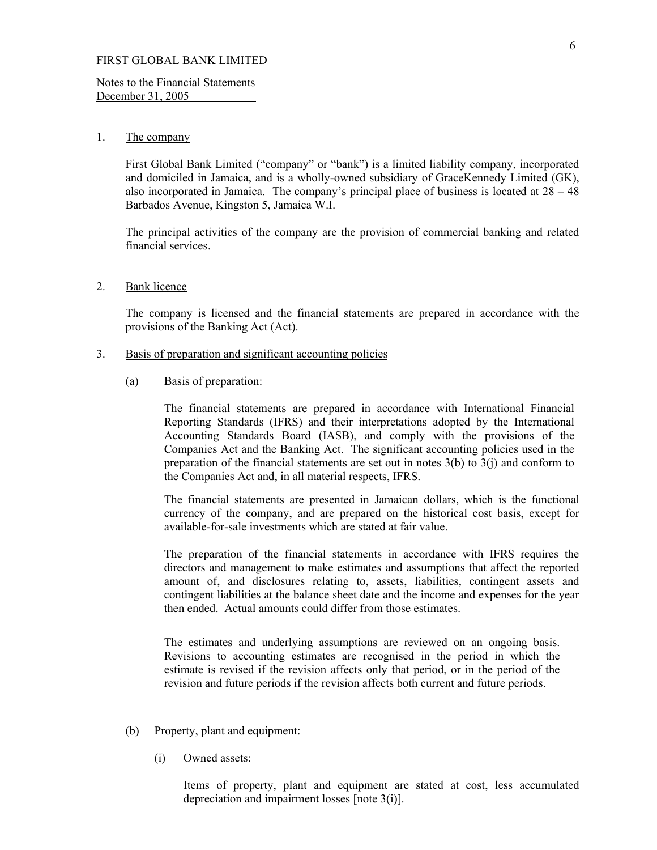Notes to the Financial Statements December 31, 2005

#### 1. The company

 First Global Bank Limited ("company" or "bank") is a limited liability company, incorporated and domiciled in Jamaica, and is a wholly-owned subsidiary of GraceKennedy Limited (GK), also incorporated in Jamaica. The company's principal place of business is located at  $28 - 48$ Barbados Avenue, Kingston 5, Jamaica W.I.

The principal activities of the company are the provision of commercial banking and related financial services.

2. Bank licence

 The company is licensed and the financial statements are prepared in accordance with the provisions of the Banking Act (Act).

- 3. Basis of preparation and significant accounting policies
	- (a) Basis of preparation:

 The financial statements are prepared in accordance with International Financial Reporting Standards (IFRS) and their interpretations adopted by the International Accounting Standards Board (IASB), and comply with the provisions of the Companies Act and the Banking Act. The significant accounting policies used in the preparation of the financial statements are set out in notes  $3(b)$  to  $3(i)$  and conform to the Companies Act and, in all material respects, IFRS.

The financial statements are presented in Jamaican dollars, which is the functional currency of the company, and are prepared on the historical cost basis, except for available-for-sale investments which are stated at fair value.

 The preparation of the financial statements in accordance with IFRS requires the directors and management to make estimates and assumptions that affect the reported amount of, and disclosures relating to, assets, liabilities, contingent assets and contingent liabilities at the balance sheet date and the income and expenses for the year then ended. Actual amounts could differ from those estimates.

The estimates and underlying assumptions are reviewed on an ongoing basis. Revisions to accounting estimates are recognised in the period in which the estimate is revised if the revision affects only that period, or in the period of the revision and future periods if the revision affects both current and future periods.

- (b) Property, plant and equipment:
	- (i) Owned assets:

 Items of property, plant and equipment are stated at cost, less accumulated depreciation and impairment losses [note 3(i)].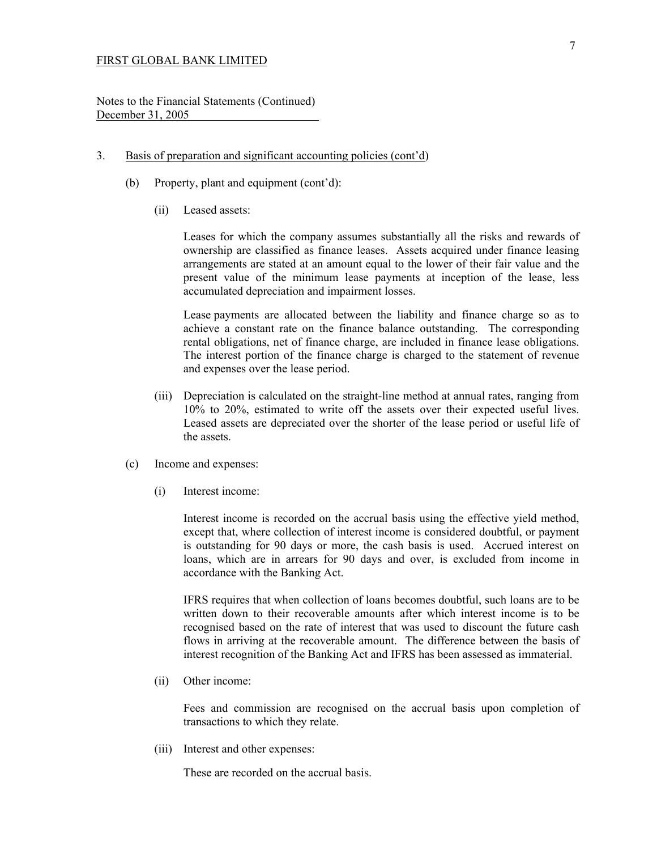Notes to the Financial Statements (Continued) December 31, 2005

- 3. Basis of preparation and significant accounting policies (cont'd)
	- (b) Property, plant and equipment (cont'd):
		- (ii) Leased assets:

 Leases for which the company assumes substantially all the risks and rewards of ownership are classified as finance leases. Assets acquired under finance leasing arrangements are stated at an amount equal to the lower of their fair value and the present value of the minimum lease payments at inception of the lease, less accumulated depreciation and impairment losses.

 Lease payments are allocated between the liability and finance charge so as to achieve a constant rate on the finance balance outstanding. The corresponding rental obligations, net of finance charge, are included in finance lease obligations. The interest portion of the finance charge is charged to the statement of revenue and expenses over the lease period.

- (iii) Depreciation is calculated on the straight-line method at annual rates, ranging from 10% to 20%, estimated to write off the assets over their expected useful lives. Leased assets are depreciated over the shorter of the lease period or useful life of the assets.
- (c) Income and expenses:
	- (i) Interest income:

 Interest income is recorded on the accrual basis using the effective yield method, except that, where collection of interest income is considered doubtful, or payment is outstanding for 90 days or more, the cash basis is used. Accrued interest on loans, which are in arrears for 90 days and over, is excluded from income in accordance with the Banking Act.

 IFRS requires that when collection of loans becomes doubtful, such loans are to be written down to their recoverable amounts after which interest income is to be recognised based on the rate of interest that was used to discount the future cash flows in arriving at the recoverable amount. The difference between the basis of interest recognition of the Banking Act and IFRS has been assessed as immaterial.

(ii) Other income:

Fees and commission are recognised on the accrual basis upon completion of transactions to which they relate.

(iii) Interest and other expenses:

These are recorded on the accrual basis.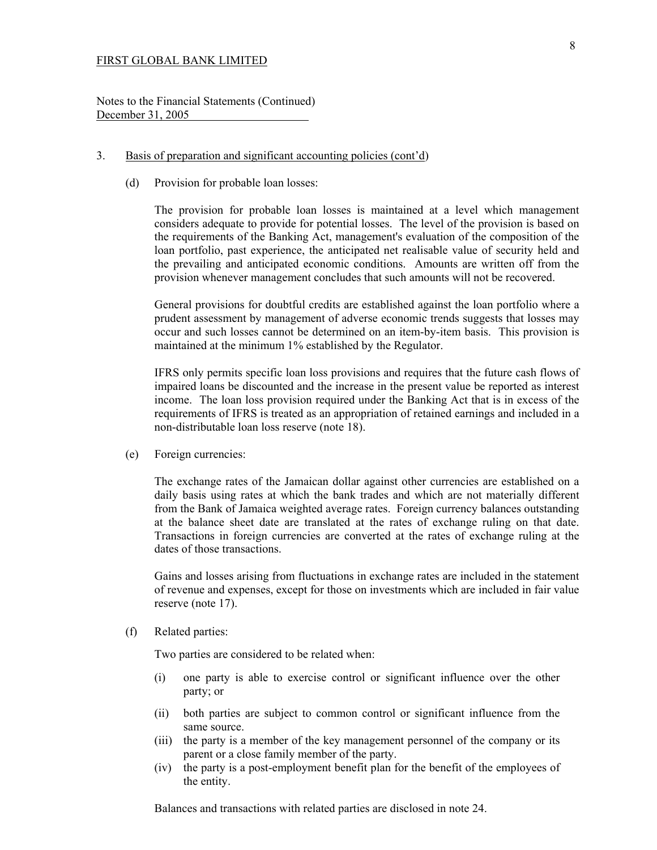Notes to the Financial Statements (Continued) December 31, 2005

#### 3. Basis of preparation and significant accounting policies (cont'd)

(d) Provision for probable loan losses:

 The provision for probable loan losses is maintained at a level which management considers adequate to provide for potential losses. The level of the provision is based on the requirements of the Banking Act, management's evaluation of the composition of the loan portfolio, past experience, the anticipated net realisable value of security held and the prevailing and anticipated economic conditions. Amounts are written off from the provision whenever management concludes that such amounts will not be recovered.

 General provisions for doubtful credits are established against the loan portfolio where a prudent assessment by management of adverse economic trends suggests that losses may occur and such losses cannot be determined on an item-by-item basis. This provision is maintained at the minimum 1% established by the Regulator.

 IFRS only permits specific loan loss provisions and requires that the future cash flows of impaired loans be discounted and the increase in the present value be reported as interest income. The loan loss provision required under the Banking Act that is in excess of the requirements of IFRS is treated as an appropriation of retained earnings and included in a non-distributable loan loss reserve (note 18).

(e) Foreign currencies:

 The exchange rates of the Jamaican dollar against other currencies are established on a daily basis using rates at which the bank trades and which are not materially different from the Bank of Jamaica weighted average rates. Foreign currency balances outstanding at the balance sheet date are translated at the rates of exchange ruling on that date. Transactions in foreign currencies are converted at the rates of exchange ruling at the dates of those transactions.

 Gains and losses arising from fluctuations in exchange rates are included in the statement of revenue and expenses, except for those on investments which are included in fair value reserve (note 17).

(f) Related parties:

Two parties are considered to be related when:

- (i) one party is able to exercise control or significant influence over the other party; or
- (ii) both parties are subject to common control or significant influence from the same source.
- (iii) the party is a member of the key management personnel of the company or its parent or a close family member of the party.
- (iv) the party is a post-employment benefit plan for the benefit of the employees of the entity.

Balances and transactions with related parties are disclosed in note 24.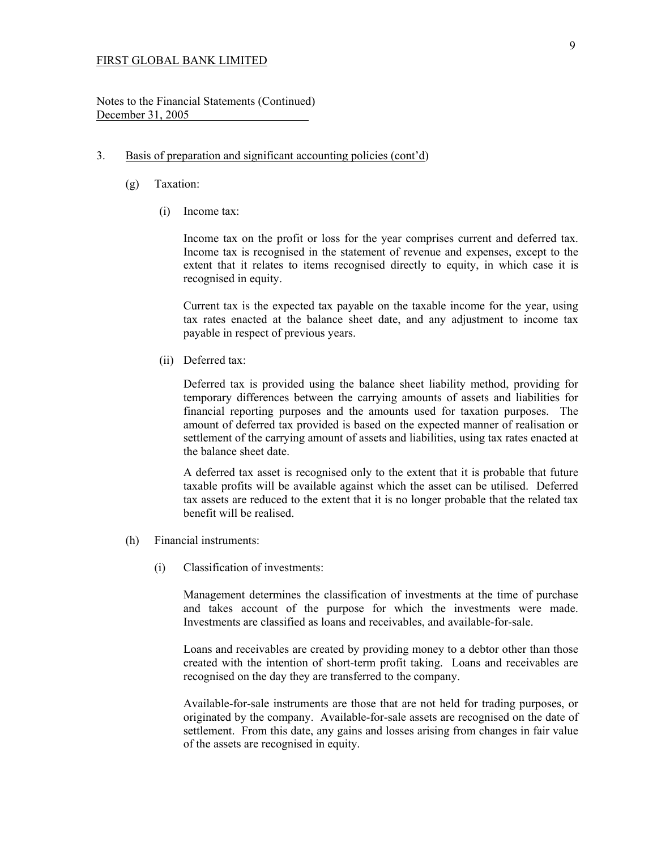Notes to the Financial Statements (Continued) December 31, 2005

### 3. Basis of preparation and significant accounting policies (cont'd)

- (g) Taxation:
	- (i) Income tax:

 Income tax on the profit or loss for the year comprises current and deferred tax. Income tax is recognised in the statement of revenue and expenses, except to the extent that it relates to items recognised directly to equity, in which case it is recognised in equity.

 Current tax is the expected tax payable on the taxable income for the year, using tax rates enacted at the balance sheet date, and any adjustment to income tax payable in respect of previous years.

(ii) Deferred tax:

 Deferred tax is provided using the balance sheet liability method, providing for temporary differences between the carrying amounts of assets and liabilities for financial reporting purposes and the amounts used for taxation purposes. The amount of deferred tax provided is based on the expected manner of realisation or settlement of the carrying amount of assets and liabilities, using tax rates enacted at the balance sheet date.

 A deferred tax asset is recognised only to the extent that it is probable that future taxable profits will be available against which the asset can be utilised. Deferred tax assets are reduced to the extent that it is no longer probable that the related tax benefit will be realised.

- (h) Financial instruments:
	- (i) Classification of investments:

 Management determines the classification of investments at the time of purchase and takes account of the purpose for which the investments were made. Investments are classified as loans and receivables, and available-for-sale.

 Loans and receivables are created by providing money to a debtor other than those created with the intention of short-term profit taking. Loans and receivables are recognised on the day they are transferred to the company.

 Available-for-sale instruments are those that are not held for trading purposes, or originated by the company. Available-for-sale assets are recognised on the date of settlement. From this date, any gains and losses arising from changes in fair value of the assets are recognised in equity.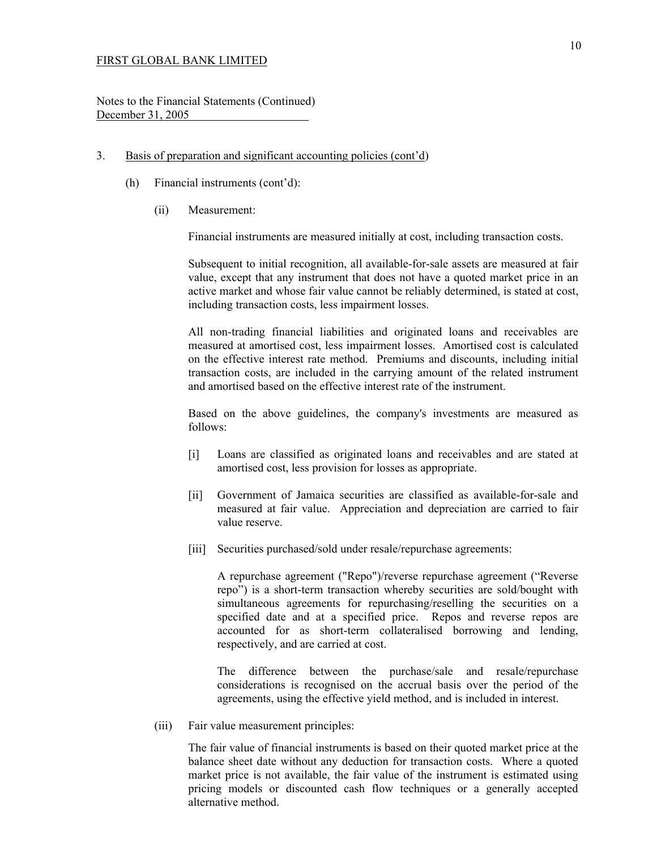Notes to the Financial Statements (Continued) December 31, 2005

- 3. Basis of preparation and significant accounting policies (cont'd)
	- (h) Financial instruments (cont'd):
		- (ii) Measurement:

Financial instruments are measured initially at cost, including transaction costs.

 Subsequent to initial recognition, all available-for-sale assets are measured at fair value, except that any instrument that does not have a quoted market price in an active market and whose fair value cannot be reliably determined, is stated at cost, including transaction costs, less impairment losses.

 All non-trading financial liabilities and originated loans and receivables are measured at amortised cost, less impairment losses. Amortised cost is calculated on the effective interest rate method. Premiums and discounts, including initial transaction costs, are included in the carrying amount of the related instrument and amortised based on the effective interest rate of the instrument.

 Based on the above guidelines, the company's investments are measured as follows:

- [i] Loans are classified as originated loans and receivables and are stated at amortised cost, less provision for losses as appropriate.
- [ii] Government of Jamaica securities are classified as available-for-sale and measured at fair value. Appreciation and depreciation are carried to fair value reserve.
- [iii] Securities purchased/sold under resale/repurchase agreements:

 A repurchase agreement ("Repo")/reverse repurchase agreement ("Reverse repo") is a short-term transaction whereby securities are sold/bought with simultaneous agreements for repurchasing/reselling the securities on a specified date and at a specified price. Repos and reverse repos are accounted for as short-term collateralised borrowing and lending, respectively, and are carried at cost.

 The difference between the purchase/sale and resale/repurchase considerations is recognised on the accrual basis over the period of the agreements, using the effective yield method, and is included in interest.

(iii) Fair value measurement principles:

 The fair value of financial instruments is based on their quoted market price at the balance sheet date without any deduction for transaction costs. Where a quoted market price is not available, the fair value of the instrument is estimated using pricing models or discounted cash flow techniques or a generally accepted alternative method.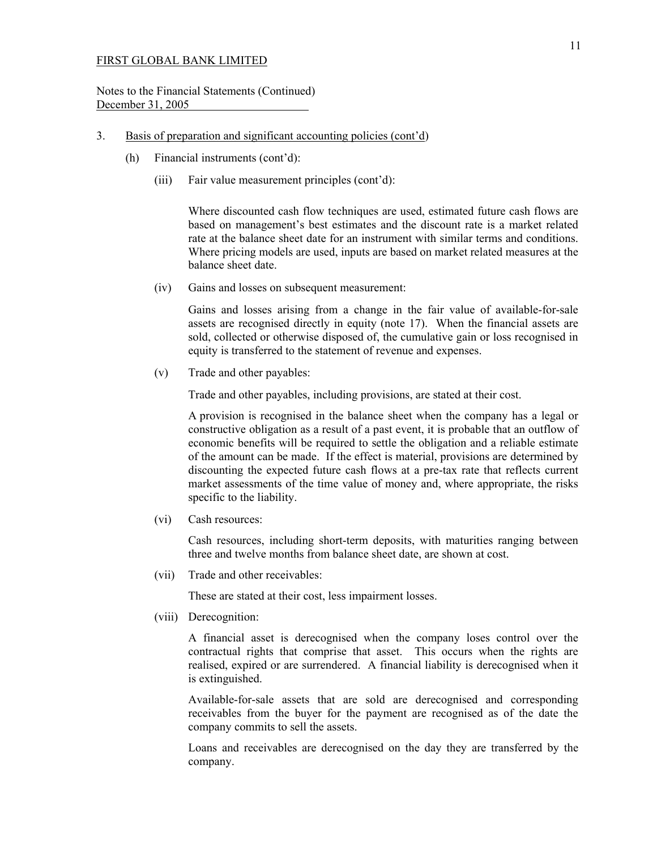Notes to the Financial Statements (Continued) December 31, 2005

### 3. Basis of preparation and significant accounting policies (cont'd)

- (h) Financial instruments (cont'd):
	- (iii) Fair value measurement principles (cont'd):

 Where discounted cash flow techniques are used, estimated future cash flows are based on management's best estimates and the discount rate is a market related rate at the balance sheet date for an instrument with similar terms and conditions. Where pricing models are used, inputs are based on market related measures at the balance sheet date.

(iv) Gains and losses on subsequent measurement:

 Gains and losses arising from a change in the fair value of available-for-sale assets are recognised directly in equity (note 17). When the financial assets are sold, collected or otherwise disposed of, the cumulative gain or loss recognised in equity is transferred to the statement of revenue and expenses.

(v) Trade and other payables:

Trade and other payables, including provisions, are stated at their cost.

 A provision is recognised in the balance sheet when the company has a legal or constructive obligation as a result of a past event, it is probable that an outflow of economic benefits will be required to settle the obligation and a reliable estimate of the amount can be made. If the effect is material, provisions are determined by discounting the expected future cash flows at a pre-tax rate that reflects current market assessments of the time value of money and, where appropriate, the risks specific to the liability.

(vi) Cash resources:

 Cash resources, including short-term deposits, with maturities ranging between three and twelve months from balance sheet date, are shown at cost.

(vii) Trade and other receivables:

These are stated at their cost, less impairment losses.

(viii) Derecognition:

 A financial asset is derecognised when the company loses control over the contractual rights that comprise that asset. This occurs when the rights are realised, expired or are surrendered. A financial liability is derecognised when it is extinguished.

 Available-for-sale assets that are sold are derecognised and corresponding receivables from the buyer for the payment are recognised as of the date the company commits to sell the assets.

 Loans and receivables are derecognised on the day they are transferred by the company.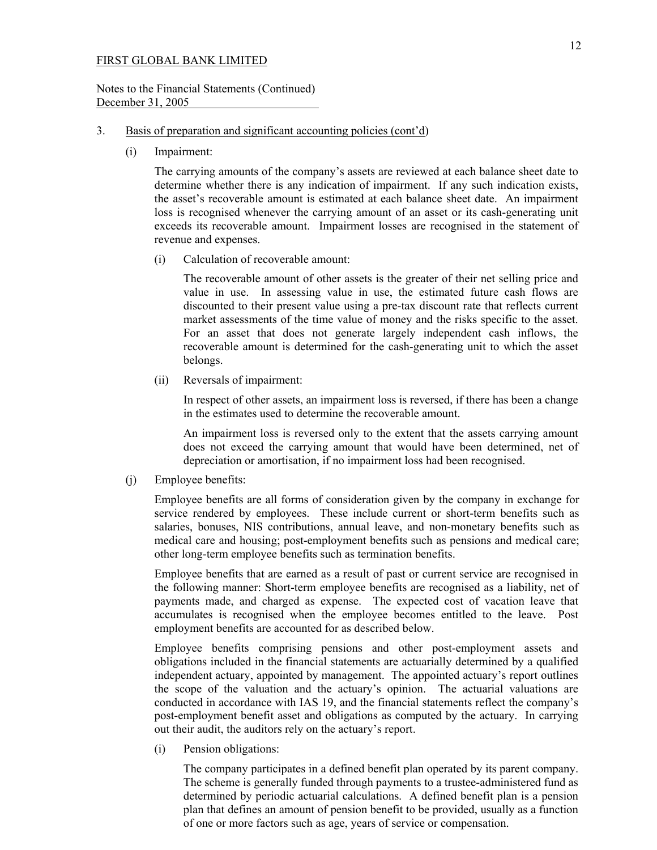### Notes to the Financial Statements (Continued) December 31, 2005

## 3. Basis of preparation and significant accounting policies (cont'd)

(i) Impairment:

The carrying amounts of the company's assets are reviewed at each balance sheet date to determine whether there is any indication of impairment. If any such indication exists, the asset's recoverable amount is estimated at each balance sheet date. An impairment loss is recognised whenever the carrying amount of an asset or its cash-generating unit exceeds its recoverable amount. Impairment losses are recognised in the statement of revenue and expenses.

(i) Calculation of recoverable amount:

 The recoverable amount of other assets is the greater of their net selling price and value in use. In assessing value in use, the estimated future cash flows are discounted to their present value using a pre-tax discount rate that reflects current market assessments of the time value of money and the risks specific to the asset. For an asset that does not generate largely independent cash inflows, the recoverable amount is determined for the cash-generating unit to which the asset belongs.

(ii) Reversals of impairment:

 In respect of other assets, an impairment loss is reversed, if there has been a change in the estimates used to determine the recoverable amount.

 An impairment loss is reversed only to the extent that the assets carrying amount does not exceed the carrying amount that would have been determined, net of depreciation or amortisation, if no impairment loss had been recognised.

(j) Employee benefits:

 Employee benefits are all forms of consideration given by the company in exchange for service rendered by employees. These include current or short-term benefits such as salaries, bonuses, NIS contributions, annual leave, and non-monetary benefits such as medical care and housing; post-employment benefits such as pensions and medical care; other long-term employee benefits such as termination benefits.

Employee benefits that are earned as a result of past or current service are recognised in the following manner: Short-term employee benefits are recognised as a liability, net of payments made, and charged as expense. The expected cost of vacation leave that accumulates is recognised when the employee becomes entitled to the leave. Post employment benefits are accounted for as described below.

Employee benefits comprising pensions and other post-employment assets and obligations included in the financial statements are actuarially determined by a qualified independent actuary, appointed by management. The appointed actuary's report outlines the scope of the valuation and the actuary's opinion. The actuarial valuations are conducted in accordance with IAS 19, and the financial statements reflect the company's post-employment benefit asset and obligations as computed by the actuary. In carrying out their audit, the auditors rely on the actuary's report.

(i) Pension obligations:

 The company participates in a defined benefit plan operated by its parent company. The scheme is generally funded through payments to a trustee-administered fund as determined by periodic actuarial calculations. A defined benefit plan is a pension plan that defines an amount of pension benefit to be provided, usually as a function of one or more factors such as age, years of service or compensation.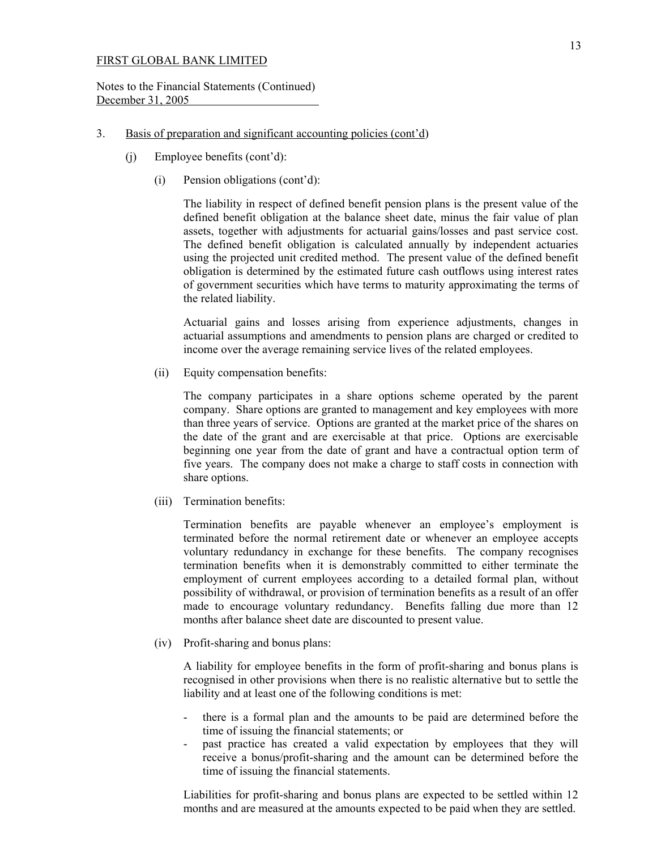Notes to the Financial Statements (Continued) December 31, 2005

#### 3. Basis of preparation and significant accounting policies (cont'd)

- (j) Employee benefits (cont'd):
	- (i) Pension obligations (cont'd):

 The liability in respect of defined benefit pension plans is the present value of the defined benefit obligation at the balance sheet date, minus the fair value of plan assets, together with adjustments for actuarial gains/losses and past service cost. The defined benefit obligation is calculated annually by independent actuaries using the projected unit credited method. The present value of the defined benefit obligation is determined by the estimated future cash outflows using interest rates of government securities which have terms to maturity approximating the terms of the related liability.

 Actuarial gains and losses arising from experience adjustments, changes in actuarial assumptions and amendments to pension plans are charged or credited to income over the average remaining service lives of the related employees.

(ii) Equity compensation benefits:

The company participates in a share options scheme operated by the parent company. Share options are granted to management and key employees with more than three years of service. Options are granted at the market price of the shares on the date of the grant and are exercisable at that price. Options are exercisable beginning one year from the date of grant and have a contractual option term of five years. The company does not make a charge to staff costs in connection with share options.

(iii) Termination benefits:

Termination benefits are payable whenever an employee's employment is terminated before the normal retirement date or whenever an employee accepts voluntary redundancy in exchange for these benefits. The company recognises termination benefits when it is demonstrably committed to either terminate the employment of current employees according to a detailed formal plan, without possibility of withdrawal, or provision of termination benefits as a result of an offer made to encourage voluntary redundancy. Benefits falling due more than 12 months after balance sheet date are discounted to present value.

(iv) Profit-sharing and bonus plans:

A liability for employee benefits in the form of profit-sharing and bonus plans is recognised in other provisions when there is no realistic alternative but to settle the liability and at least one of the following conditions is met:

- there is a formal plan and the amounts to be paid are determined before the time of issuing the financial statements; or
- past practice has created a valid expectation by employees that they will receive a bonus/profit-sharing and the amount can be determined before the time of issuing the financial statements.

Liabilities for profit-sharing and bonus plans are expected to be settled within 12 months and are measured at the amounts expected to be paid when they are settled.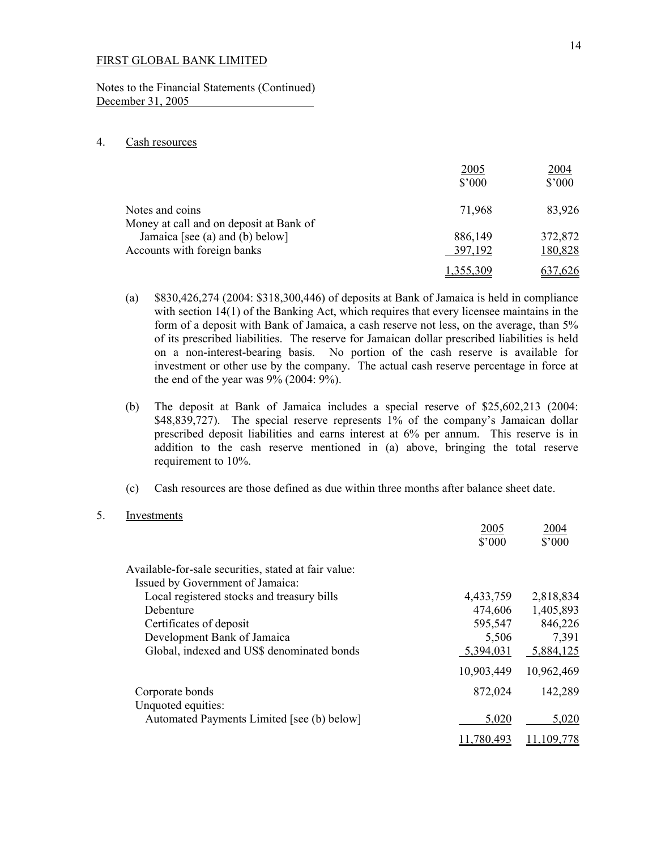Notes to the Financial Statements (Continued) December 31, 2005

## 4. Cash resources

|                                                                | 2005<br>$$^{\circ}000$ | 2004<br>$$^{\prime}000$ |
|----------------------------------------------------------------|------------------------|-------------------------|
| Notes and coins<br>Money at call and on deposit at Bank of     | 71,968                 | 83,926                  |
| Jamaica [see (a) and (b) below]<br>Accounts with foreign banks | 886,149<br>397,192     | 372,872<br>180,828      |
|                                                                |                        | 7.626                   |

- (a) \$830,426,274 (2004: \$318,300,446) of deposits at Bank of Jamaica is held in compliance with section 14(1) of the Banking Act, which requires that every licensee maintains in the form of a deposit with Bank of Jamaica, a cash reserve not less, on the average, than 5% of its prescribed liabilities. The reserve for Jamaican dollar prescribed liabilities is held on a non-interest-bearing basis. No portion of the cash reserve is available for investment or other use by the company. The actual cash reserve percentage in force at the end of the year was  $9\%$  (2004:  $9\%$ ).
- (b) The deposit at Bank of Jamaica includes a special reserve of \$25,602,213 (2004: \$48,839,727). The special reserve represents 1% of the company's Jamaican dollar prescribed deposit liabilities and earns interest at 6% per annum. This reserve is in addition to the cash reserve mentioned in (a) above, bringing the total reserve requirement to 10%.
- (c) Cash resources are those defined as due within three months after balance sheet date.
- 5. Investments

|                                                      | 2005<br>\$'000 | 2004<br>\$'000 |
|------------------------------------------------------|----------------|----------------|
| Available-for-sale securities, stated at fair value: |                |                |
| Issued by Government of Jamaica:                     |                |                |
| Local registered stocks and treasury bills           | 4,433,759      | 2,818,834      |
| Debenture                                            | 474,606        | 1,405,893      |
| Certificates of deposit                              | 595,547        | 846,226        |
| Development Bank of Jamaica                          | 5,506          | 7,391          |
| Global, indexed and US\$ denominated bonds           | 5,394,031      | 5,884,125      |
|                                                      | 10,903,449     | 10,962,469     |
| Corporate bonds                                      | 872,024        | 142,289        |
| Unquoted equities:                                   |                |                |
| Automated Payments Limited [see (b) below]           | 5,020          | 5,020          |
|                                                      | .780,493       | 109.778        |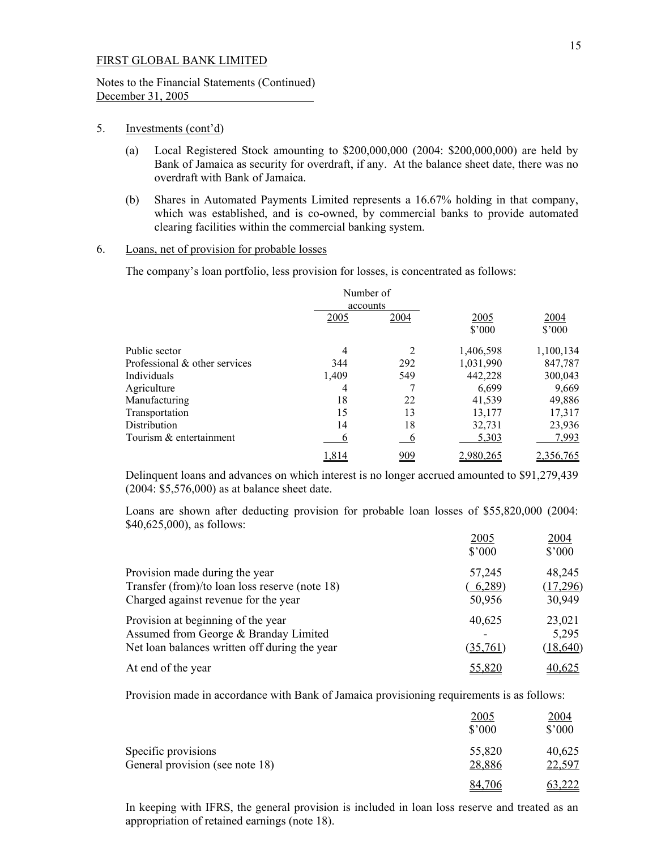## Notes to the Financial Statements (Continued) December 31, 2005

#### 5. Investments (cont'd)

- (a) Local Registered Stock amounting to \$200,000,000 (2004: \$200,000,000) are held by Bank of Jamaica as security for overdraft, if any. At the balance sheet date, there was no overdraft with Bank of Jamaica.
- (b) Shares in Automated Payments Limited represents a 16.67% holding in that company, which was established, and is co-owned, by commercial banks to provide automated clearing facilities within the commercial banking system.

#### 6. Loans, net of provision for probable losses

The company's loan portfolio, less provision for losses, is concentrated as follows:

|                               | Number of |                |           |           |
|-------------------------------|-----------|----------------|-----------|-----------|
|                               | accounts  |                |           |           |
|                               | 2005      | 2004           | 2005      | 2004      |
|                               |           |                | \$'000    | \$'000    |
| Public sector                 | 4         | 2              | 1,406,598 | 1,100,134 |
| Professional & other services | 344       | 292            | 1,031,990 | 847,787   |
| Individuals                   | 1,409     | 549            | 442,228   | 300,043   |
| Agriculture                   | 4         |                | 6,699     | 9,669     |
| Manufacturing                 | 18        | 22             | 41,539    | 49,886    |
| Transportation                | 15        | 13             | 13,177    | 17,317    |
| <b>Distribution</b>           | 14        | 18             | 32,731    | 23,936    |
| Tourism & entertainment       | O         | $\overline{6}$ | 5,303     | 7,993     |
|                               | 1.814     | 909            | 2.980.26  | 2.356.765 |

 Delinquent loans and advances on which interest is no longer accrued amounted to \$91,279,439 (2004: \$5,576,000) as at balance sheet date.

 Loans are shown after deducting provision for probable loan losses of \$55,820,000 (2004: \$40,625,000), as follows:

|                                                | 2005<br>\$'000 | 2004<br>$$^{\prime}000$ |
|------------------------------------------------|----------------|-------------------------|
| Provision made during the year                 | 57,245         | 48,245                  |
| Transfer (from)/to loan loss reserve (note 18) | (6,289)        | (17,296)                |
| Charged against revenue for the year           | 50,956         | 30,949                  |
| Provision at beginning of the year             | 40,625         | 23,021                  |
| Assumed from George & Branday Limited          |                | 5,295                   |
| Net loan balances written off during the year  | (35,761)       | (18, 640)               |
| At end of the year                             | 55,820         | 40.625                  |

Provision made in accordance with Bank of Jamaica provisioning requirements is as follows:

|                                 | <u>2005</u><br>$$^{\prime}000$ | <u>2004</u><br>$$^{\circ}000$ |
|---------------------------------|--------------------------------|-------------------------------|
| Specific provisions             | 55,820                         | 40,625                        |
| General provision (see note 18) | 28,886                         | 22,597                        |
|                                 | <u>84. </u><br>.706            |                               |

 In keeping with IFRS, the general provision is included in loan loss reserve and treated as an appropriation of retained earnings (note 18).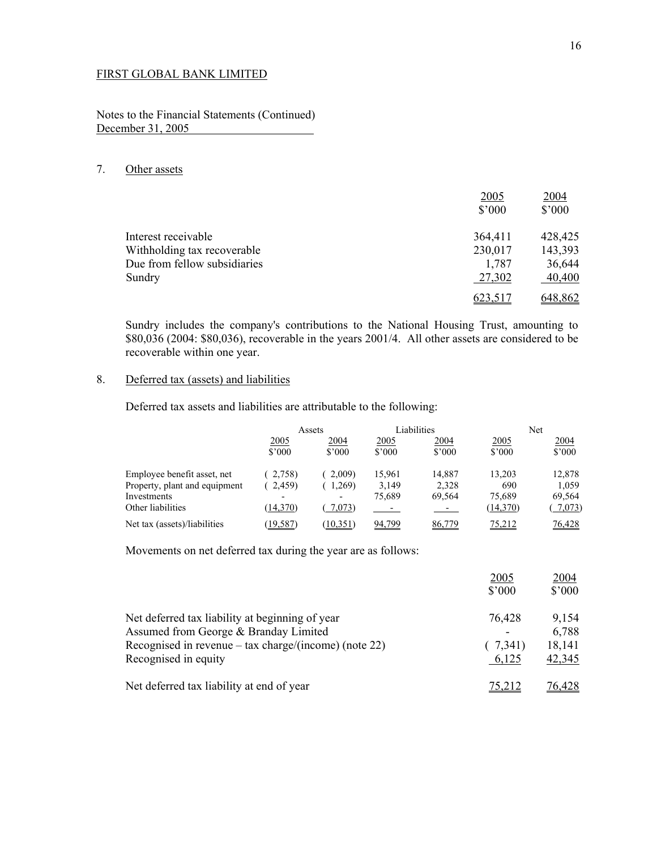Notes to the Financial Statements (Continued) December 31, 2005

## 7. Other assets

|                              | 2005           | 2004    |
|------------------------------|----------------|---------|
|                              | $$^{\circ}000$ | \$'000  |
| Interest receivable          | 364,411        | 428,425 |
| Withholding tax recoverable  | 230,017        | 143,393 |
| Due from fellow subsidiaries | 1,787          | 36,644  |
| Sundry                       | 27,302         | 40,400  |
|                              | 623,517        | 648,862 |

 Sundry includes the company's contributions to the National Housing Trust, amounting to \$80,036 (2004: \$80,036), recoverable in the years 2001/4. All other assets are considered to be recoverable within one year.

## 8. Deferred tax (assets) and liabilities

Deferred tax assets and liabilities are attributable to the following:

|                               |                | Assets                   |                       | Liabilities    |                       | Net                    |
|-------------------------------|----------------|--------------------------|-----------------------|----------------|-----------------------|------------------------|
|                               | 2005<br>\$3000 | 2004<br>\$3000           | <u>2005</u><br>\$3000 | 2004<br>\$3000 | <u>2005</u><br>\$3000 | 2004<br>$$^{\circ}000$ |
| Employee benefit asset, net   | 2,758)         | 2,009                    | 15,961                | 14,887         | 13,203                | 12,878                 |
| Property, plant and equipment | 2,459)         | .269)                    | 3,149                 | 2,328          | 690                   | 1,059                  |
| Investments                   | ٠              | $\overline{\phantom{0}}$ | 75.689                | 69,564         | 75,689                | 69,564                 |
| Other liabilities             | (14,370)       | 7,073)                   |                       |                | (14,370)              | 7,073                  |
| Net tax (assets)/liabilities  | (19, 587)      | (10, 351)                | 94,799                | 86,779         | 75,212                | 76,428                 |

Movements on net deferred tax during the year are as follows:

|                                                       | 2005<br>$$^{\circ}000$ | 2004<br>\$'000 |
|-------------------------------------------------------|------------------------|----------------|
| Net deferred tax liability at beginning of year       | 76,428                 | 9,154          |
| Assumed from George & Branday Limited                 | ۰                      | 6,788          |
| Recognised in revenue – tax charge/(income) (note 22) | (7,341)                | 18,141         |
| Recognised in equity                                  | 6,125                  | 42,345         |
| Net deferred tax liability at end of year             |                        | 76.428         |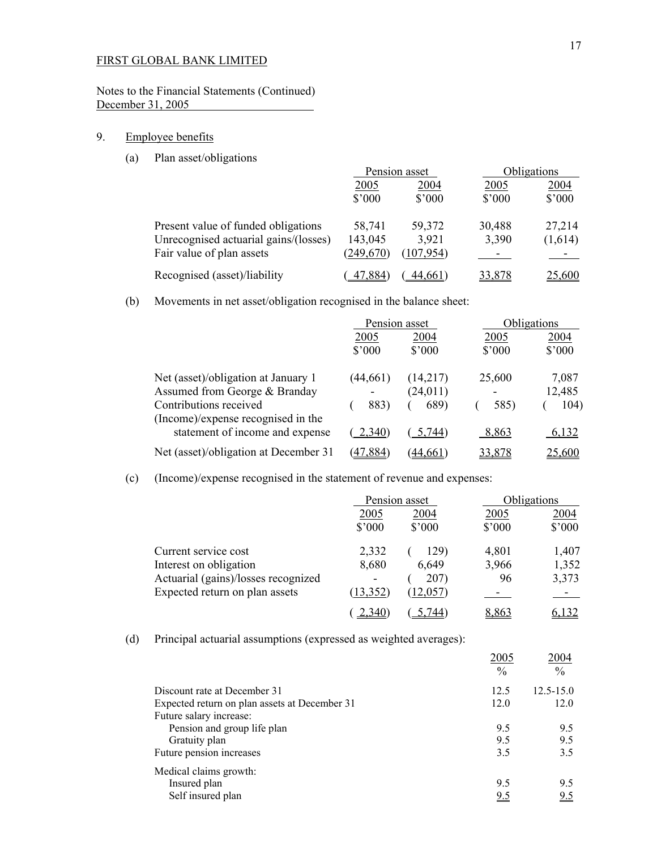Notes to the Financial Statements (Continued) December 31, 2005

## 9. Employee benefits

(a) Plan asset/obligations

|                                                                                                           | Pension asset                   |                               |                         | Obligations             |
|-----------------------------------------------------------------------------------------------------------|---------------------------------|-------------------------------|-------------------------|-------------------------|
|                                                                                                           | 2005<br>$$^{\prime}000$         | 2004<br>$$^{\prime}000$       | 2005<br>$$^{\prime}000$ | 2004<br>$$^{\prime}000$ |
| Present value of funded obligations<br>Unrecognised actuarial gains/(losses)<br>Fair value of plan assets | 58,741<br>143,045<br>(249, 670) | 59,372<br>3,921<br>(107, 954) | 30,488<br>3,390         | 27,214<br>(1,614)       |
| Recognised (asset)/liability                                                                              | 47.884                          | 44.661                        | 33,878                  | 25,600                  |

(b) Movements in net asset/obligation recognised in the balance sheet:

|                                                              | Pension asset   |                 |        | Obligations     |
|--------------------------------------------------------------|-----------------|-----------------|--------|-----------------|
|                                                              | 2005            | 2004            | 2005   | 2004            |
|                                                              | $$^{\prime}000$ | $$^{\prime}000$ | \$'000 | $$^{\prime}000$ |
| Net (asset)/obligation at January 1                          | (44, 661)       | (14,217)        | 25,600 | 7,087           |
| Assumed from George & Branday                                |                 | (24, 011)       |        | 12,485          |
| Contributions received<br>(Income)/expense recognised in the | 883)            | 689)            | 585)   | 104)            |
| statement of income and expense                              | 2,340           | 5,744)          | 8,863  | 6,132           |
| Net (asset)/obligation at December 31                        | (47, 884)       | (44.661)        | 33,878 | 25,600          |

(c) (Income)/expense recognised in the statement of revenue and expenses:

|                                                                                                                         |                                                         | Pension asset                      |                         | Obligations                           |
|-------------------------------------------------------------------------------------------------------------------------|---------------------------------------------------------|------------------------------------|-------------------------|---------------------------------------|
|                                                                                                                         | 2005<br>$$^{\prime}000$                                 | 2004<br>$$^{\prime}000$            | 2005<br>$$^{\prime}000$ | 2004<br>\$'000                        |
| Current service cost<br>Interest on obligation<br>Actuarial (gains)/losses recognized<br>Expected return on plan assets | 2,332<br>8,680<br>$\overline{\phantom{a}}$<br>(13, 352) | 129)<br>6,649<br>207)<br>(12, 057) | 4,801<br>3,966<br>96    | 1,407<br>1,352<br>3,373<br>$\sim$ $-$ |
|                                                                                                                         | <u>.340</u>                                             | 7441                               | 8,863                   |                                       |

(d) Principal actuarial assumptions (expressed as weighted averages):

|                                               | 2005<br>$\frac{0}{0}$ | 2004<br>$\frac{0}{0}$ |
|-----------------------------------------------|-----------------------|-----------------------|
| Discount rate at December 31                  | 12.5                  | $12.5 - 15.0$         |
| Expected return on plan assets at December 31 | 12.0                  | 12.0                  |
| Future salary increase:                       |                       |                       |
| Pension and group life plan                   | 9.5                   | 9.5                   |
| Gratuity plan                                 | 9.5                   | 9.5                   |
| Future pension increases                      | 3.5                   | 3.5                   |
| Medical claims growth:                        |                       |                       |
| Insured plan                                  | 9.5                   | 9.5                   |
| Self insured plan                             | 9.5                   | <u>9.5</u>            |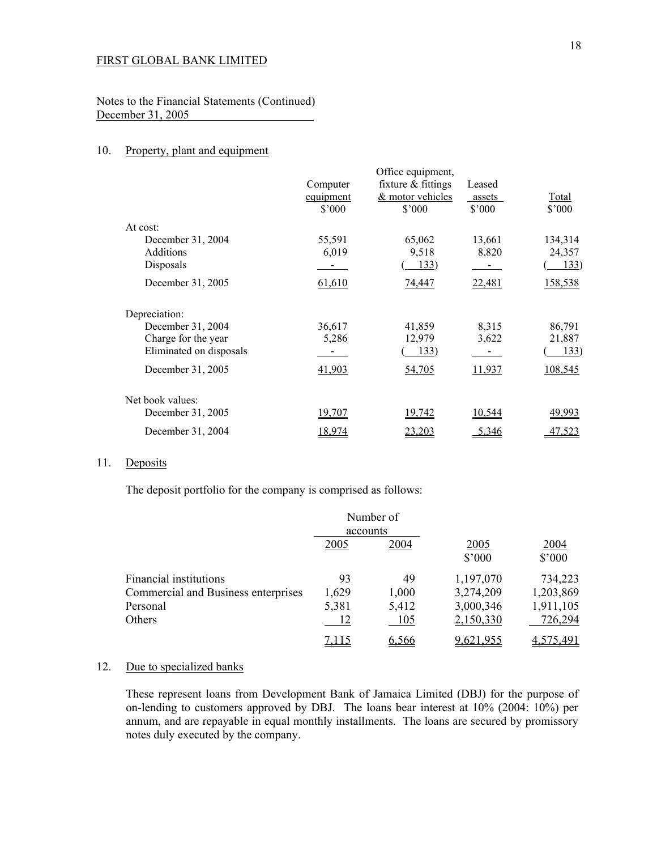Notes to the Financial Statements (Continued) December 31, 2005

## 10. Property, plant and equipment

|                         |                | Office equipment,    |                |         |
|-------------------------|----------------|----------------------|----------------|---------|
|                         | Computer       | fixture $&$ fittings | Leased         |         |
|                         | equipment      | & motor vehicles     | assets         | Total   |
|                         | $$^{\circ}000$ | $$^{\circ}000$       | $$^{\circ}000$ | \$'000  |
| At cost:                |                |                      |                |         |
| December 31, 2004       | 55,591         | 65,062               | 13,661         | 134,314 |
| <b>Additions</b>        | 6,019          | 9,518                | 8,820          | 24,357  |
| Disposals               |                | 133)                 |                | 133)    |
| December 31, 2005       | 61,610         | 74,447               | 22,481         | 158,538 |
| Depreciation:           |                |                      |                |         |
| December 31, 2004       | 36,617         | 41,859               | 8,315          | 86,791  |
| Charge for the year     | 5,286          | 12,979               | 3,622          | 21,887  |
| Eliminated on disposals |                | 133)                 |                | 133)    |
| December 31, 2005       | 41,903         | <u>54,705</u>        | 11,937         | 108,545 |
| Net book values:        |                |                      |                |         |
| December 31, 2005       | 19,707         | 19,742               | 10,544         | 49,993  |
| December 31, 2004       | 18,974         | 23,203               | 5,346          | 47,523  |

## 11. Deposits

The deposit portfolio for the company is comprised as follows:

|                                     | accounts | Number of |                        |                        |
|-------------------------------------|----------|-----------|------------------------|------------------------|
|                                     | 2005     | 2004      | 2005<br>$$^{\circ}000$ | 2004<br>$$^{\circ}000$ |
| Financial institutions              | 93       | 49        | 1,197,070              | 734,223                |
| Commercial and Business enterprises | 1,629    | 1,000     | 3,274,209              | 1,203,869              |
| Personal                            | 5,381    | 5,412     | 3,000,346              | 1,911,105              |
| <b>Others</b>                       | 12       | 105       | 2,150,330              | 726,294                |
|                                     | 7 1 1 5  | 6.566     | 9621.955               | 575.491                |

## 12. Due to specialized banks

 These represent loans from Development Bank of Jamaica Limited (DBJ) for the purpose of on-lending to customers approved by DBJ. The loans bear interest at 10% (2004: 10%) per annum, and are repayable in equal monthly installments. The loans are secured by promissory notes duly executed by the company.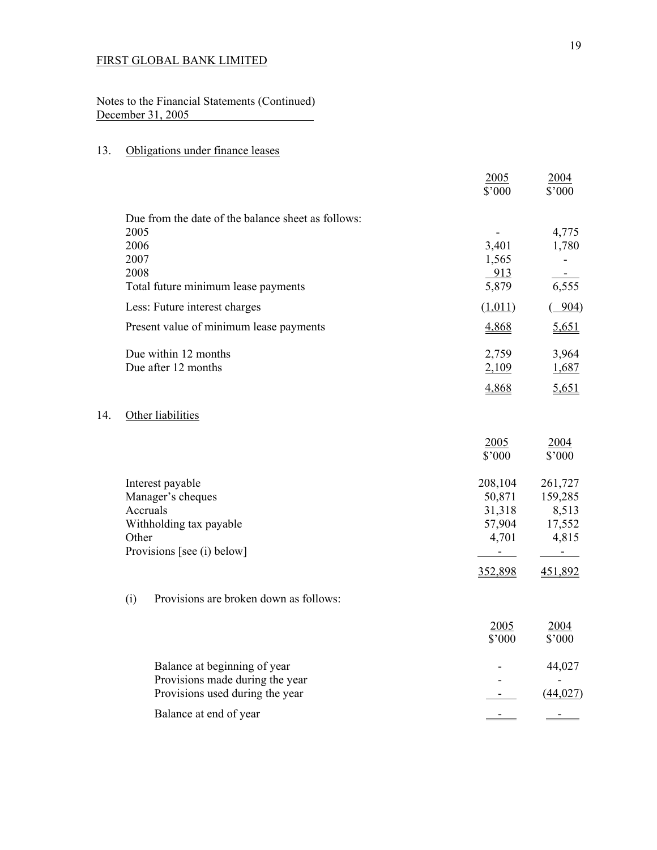Notes to the Financial Statements (Continued) December 31, 2005

## 13. Obligations under finance leases

 $14.$ 

|     |                                                    | 2005<br>\$'000 | 2004<br>\$'000          |
|-----|----------------------------------------------------|----------------|-------------------------|
|     | Due from the date of the balance sheet as follows: |                |                         |
|     | 2005                                               |                | 4,775                   |
|     | 2006                                               | 3,401          | 1,780                   |
|     | 2007                                               | 1,565          | $\blacksquare$          |
|     | 2008<br>Total future minimum lease payments        | 913<br>5,879   | 6,555                   |
|     | Less: Future interest charges                      | (1,011)        | 904)                    |
|     | Present value of minimum lease payments            | 4,868          | 5,651                   |
|     | Due within 12 months                               | 2,759          | 3,964                   |
|     | Due after 12 months                                | 2,109          | 1,687                   |
|     |                                                    | 4,868          | 5,651                   |
| 14. | Other liabilities                                  |                |                         |
|     |                                                    | 2005           | 2004                    |
|     |                                                    | \$'000         | \$'000                  |
|     | Interest payable                                   | 208,104        | 261,727                 |
|     | Manager's cheques                                  | 50,871         | 159,285                 |
|     | Accruals                                           | 31,318         | 8,513                   |
|     | Withholding tax payable                            | 57,904         | 17,552                  |
|     | Other<br>Provisions [see (i) below]                | 4,701          | 4,815<br>$\overline{a}$ |
|     |                                                    | 352,898        | 451,892                 |
|     | Provisions are broken down as follows:<br>(i)      |                |                         |
|     |                                                    | 2005           | 2004                    |
|     |                                                    | \$'000         | \$'000                  |
|     | Balance at beginning of year                       |                | 44,027                  |
|     | Provisions made during the year                    |                |                         |
|     | Provisions used during the year                    |                | (44, 027)               |
|     | Balance at end of year                             |                |                         |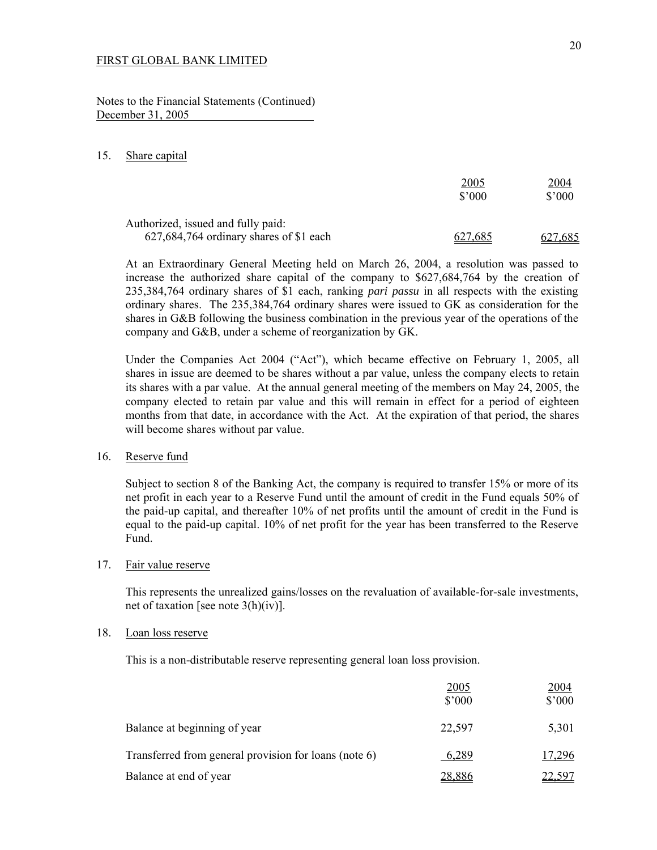Notes to the Financial Statements (Continued) December 31, 2005

#### 15. Share capital

|                                                                               | <u> 2005</u><br>$$^{\prime}000$ | <u>2004</u><br>$$^{\prime}000$ |
|-------------------------------------------------------------------------------|---------------------------------|--------------------------------|
| Authorized, issued and fully paid:<br>627,684,764 ordinary shares of \$1 each | 627,685                         | 627,685                        |

 At an Extraordinary General Meeting held on March 26, 2004, a resolution was passed to increase the authorized share capital of the company to \$627,684,764 by the creation of 235,384,764 ordinary shares of \$1 each, ranking *pari passu* in all respects with the existing ordinary shares. The 235,384,764 ordinary shares were issued to GK as consideration for the shares in G&B following the business combination in the previous year of the operations of the company and G&B, under a scheme of reorganization by GK.

 Under the Companies Act 2004 ("Act"), which became effective on February 1, 2005, all shares in issue are deemed to be shares without a par value, unless the company elects to retain its shares with a par value. At the annual general meeting of the members on May 24, 2005, the company elected to retain par value and this will remain in effect for a period of eighteen months from that date, in accordance with the Act. At the expiration of that period, the shares will become shares without par value.

#### 16. Reserve fund

 Subject to section 8 of the Banking Act, the company is required to transfer 15% or more of its net profit in each year to a Reserve Fund until the amount of credit in the Fund equals 50% of the paid-up capital, and thereafter 10% of net profits until the amount of credit in the Fund is equal to the paid-up capital. 10% of net profit for the year has been transferred to the Reserve Fund.

### 17. Fair value reserve

 This represents the unrealized gains/losses on the revaluation of available-for-sale investments, net of taxation [see note 3(h)(iv)].

#### 18. Loan loss reserve

This is a non-distributable reserve representing general loan loss provision.

| <u>2005</u><br>$$^{\prime}000$                                 | <u> 2004 </u><br>$$^{\circ}000$ |
|----------------------------------------------------------------|---------------------------------|
| Balance at beginning of year<br>22,597                         | 5,301                           |
| Transferred from general provision for loans (note 6)<br>6,289 | 17,296                          |
| Balance at end of year<br>28,886                               | <u>22,597</u>                   |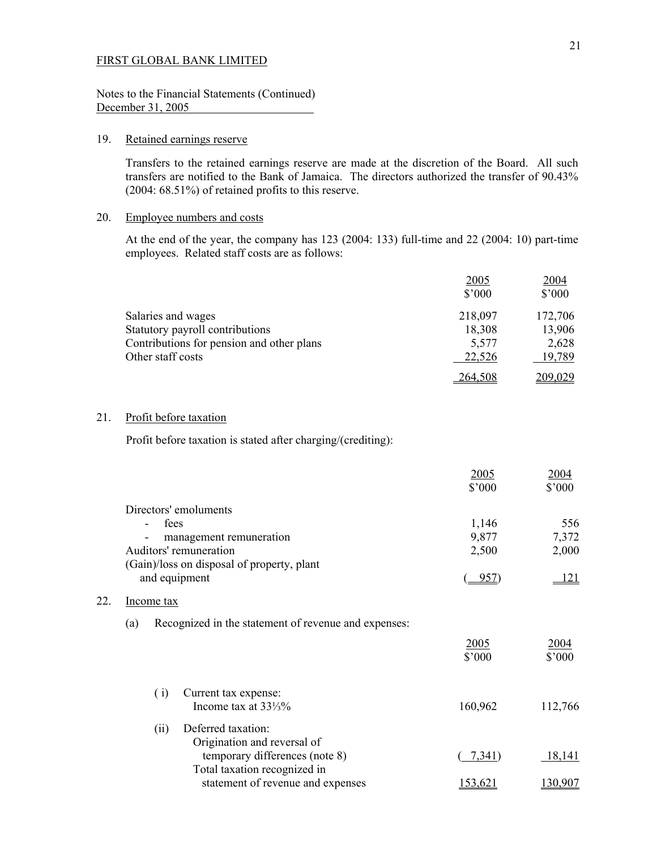Notes to the Financial Statements (Continued) December 31, 2005

## 19. Retained earnings reserve

Transfers to the retained earnings reserve are made at the discretion of the Board. All such transfers are notified to the Bank of Jamaica. The directors authorized the transfer of 90.43% (2004: 68.51%) of retained profits to this reserve.

#### 20. Employee numbers and costs

 At the end of the year, the company has 123 (2004: 133) full-time and 22 (2004: 10) part-time employees. Related staff costs are as follows:

|                                           | 2005<br>$$^{\prime}000$ | 2004<br>$$^{\prime}000$ |
|-------------------------------------------|-------------------------|-------------------------|
| Salaries and wages                        | 218,097                 | 172,706                 |
| Statutory payroll contributions           | 18,308                  | 13,906                  |
| Contributions for pension and other plans | 5,577                   | 2,628                   |
| Other staff costs                         | 22,526                  | 19,789                  |
|                                           | 264,508                 | 209,029                 |

## 21. Profit before taxation

Profit before taxation is stated after charging/(crediting):

|     |                                                                | 2005<br>\$'000 | <u>2004</u><br>\$'000 |
|-----|----------------------------------------------------------------|----------------|-----------------------|
|     | Directors' emoluments                                          |                |                       |
|     | fees                                                           | 1,146          | 556                   |
|     | management remuneration                                        | 9,877          | 7,372                 |
|     | Auditors' remuneration                                         | 2,500          | 2,000                 |
|     | (Gain)/loss on disposal of property, plant                     |                |                       |
|     | and equipment                                                  | $-957$         | 121                   |
| 22. | Income tax                                                     |                |                       |
|     | Recognized in the statement of revenue and expenses:<br>(a)    |                |                       |
|     |                                                                | 2005<br>\$'000 | <u>2004</u><br>\$'000 |
|     | (i)<br>Current tax expense:                                    |                |                       |
|     | Income tax at $33\frac{1}{3}\%$                                | 160,962        | 112,766               |
|     | Deferred taxation:<br>(ii)<br>Origination and reversal of      |                |                       |
|     | temporary differences (note 8)<br>Total taxation recognized in | 7,341)         | 18,141                |
|     | statement of revenue and expenses                              | 153,621        | 130,907               |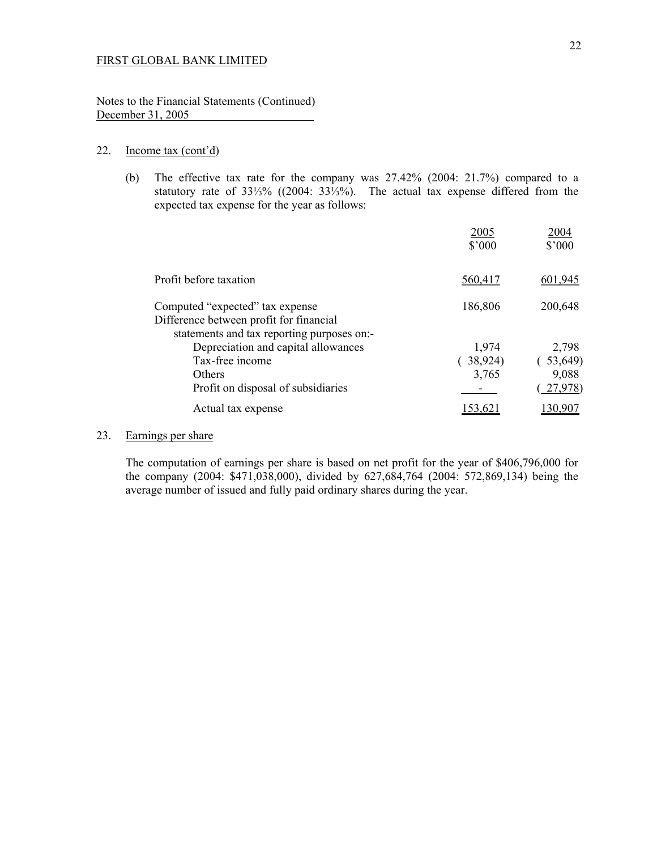Notes to the Financial Statements (Continued) December 31, 2005

### 22. Income tax (cont'd)

 (b) The effective tax rate for the company was 27.42% (2004: 21.7%) compared to a statutory rate of 33⅓% ((2004: 33⅓%). The actual tax expense differed from the expected tax expense for the year as follows:

|                                                                                                                          | 2005<br>\$'000 | 2004<br>\$'000 |
|--------------------------------------------------------------------------------------------------------------------------|----------------|----------------|
| Profit before taxation                                                                                                   | 560,417        | 601.945        |
| Computed "expected" tax expense<br>Difference between profit for financial<br>statements and tax reporting purposes on:- | 186,806        | 200,648        |
| Depreciation and capital allowances                                                                                      | 1,974          | 2,798          |
| Tax-free income                                                                                                          | 38,924)        | (53,649)       |
| <b>Others</b>                                                                                                            | 3,765          | 9,088          |
| Profit on disposal of subsidiaries                                                                                       |                | 27,978)        |
| Actual tax expense                                                                                                       |                |                |

## 23. Earnings per share

 The computation of earnings per share is based on net profit for the year of \$406,796,000 for the company (2004: \$471,038,000), divided by 627,684,764 (2004: 572,869,134) being the average number of issued and fully paid ordinary shares during the year.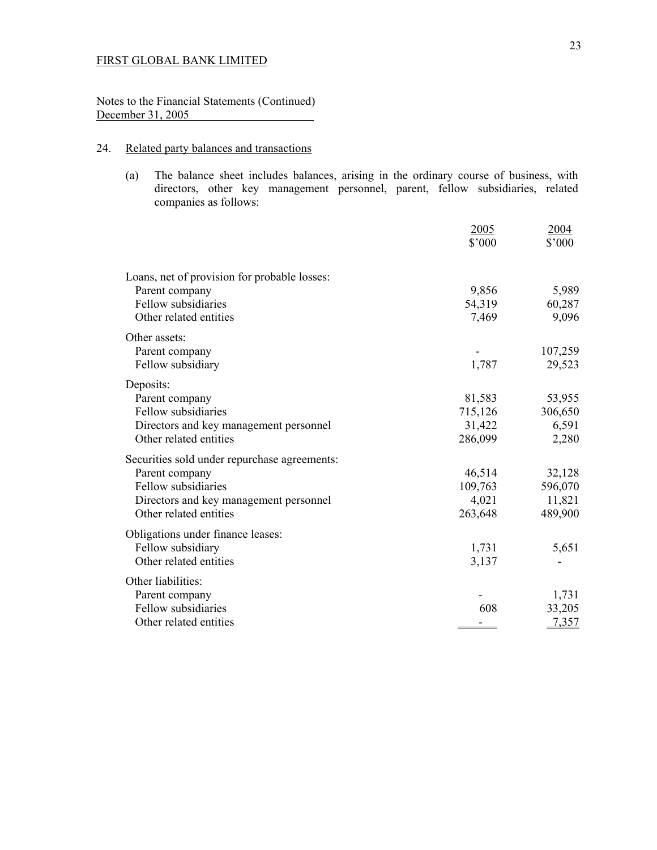## Notes to the Financial Statements (Continued) December 31, 2005

## 24. Related party balances and transactions

(a) The balance sheet includes balances, arising in the ordinary course of business, with directors, other key management personnel, parent, fellow subsidiaries, related companies as follows:

|                                              | 2005<br>\$'000 | 2004<br>\$'000 |
|----------------------------------------------|----------------|----------------|
| Loans, net of provision for probable losses: |                |                |
| Parent company                               | 9,856          | 5,989          |
| Fellow subsidiaries                          | 54,319         | 60,287         |
| Other related entities                       | 7,469          | 9,096          |
| Other assets:                                |                |                |
| Parent company                               |                | 107,259        |
| Fellow subsidiary                            | 1,787          | 29,523         |
| Deposits:                                    |                |                |
| Parent company                               | 81,583         | 53,955         |
| Fellow subsidiaries                          | 715,126        | 306,650        |
| Directors and key management personnel       | 31,422         | 6,591          |
| Other related entities                       | 286,099        | 2,280          |
| Securities sold under repurchase agreements: |                |                |
| Parent company                               | 46,514         | 32,128         |
| Fellow subsidiaries                          | 109,763        | 596,070        |
| Directors and key management personnel       | 4,021          | 11,821         |
| Other related entities                       | 263,648        | 489,900        |
| Obligations under finance leases:            |                |                |
| Fellow subsidiary                            | 1,731          | 5,651          |
| Other related entities                       | 3,137          |                |
| Other liabilities:                           |                |                |
| Parent company                               |                | 1,731          |
| Fellow subsidiaries                          | 608            | 33,205         |
| Other related entities                       |                | 7,357          |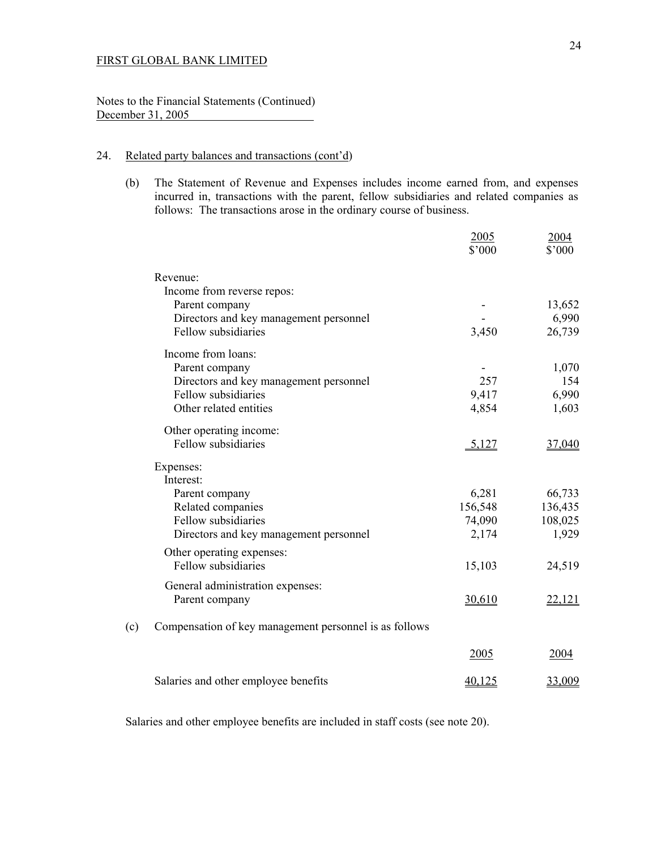Notes to the Financial Statements (Continued) December 31, 2005

## 24. Related party balances and transactions (cont'd)

 (b) The Statement of Revenue and Expenses includes income earned from, and expenses incurred in, transactions with the parent, fellow subsidiaries and related companies as follows: The transactions arose in the ordinary course of business.

|     |                                                        | 2005<br>\$'000 | 2004<br>\$'000 |
|-----|--------------------------------------------------------|----------------|----------------|
|     | Revenue:                                               |                |                |
|     | Income from reverse repos:                             |                |                |
|     | Parent company                                         |                | 13,652         |
|     | Directors and key management personnel                 |                | 6,990          |
|     | Fellow subsidiaries                                    | 3,450          | 26,739         |
|     | Income from loans:                                     |                |                |
|     | Parent company                                         |                | 1,070          |
|     | Directors and key management personnel                 | 257            | 154            |
|     | Fellow subsidiaries                                    | 9,417          | 6,990          |
|     | Other related entities                                 | 4,854          | 1,603          |
|     | Other operating income:                                |                |                |
|     | Fellow subsidiaries                                    | 5,127          | 37,040         |
|     | Expenses:                                              |                |                |
|     | Interest:                                              |                |                |
|     | Parent company                                         | 6,281          | 66,733         |
|     | Related companies                                      | 156,548        | 136,435        |
|     | Fellow subsidiaries                                    | 74,090         | 108,025        |
|     | Directors and key management personnel                 | 2,174          | 1,929          |
|     | Other operating expenses:                              |                |                |
|     | Fellow subsidiaries                                    | 15,103         | 24,519         |
|     | General administration expenses:                       |                |                |
|     | Parent company                                         | 30,610         | 22,121         |
| (c) | Compensation of key management personnel is as follows |                |                |
|     |                                                        | 2005           | 2004           |
|     | Salaries and other employee benefits                   | 40,125         | 33,009         |
|     |                                                        |                |                |

Salaries and other employee benefits are included in staff costs (see note 20).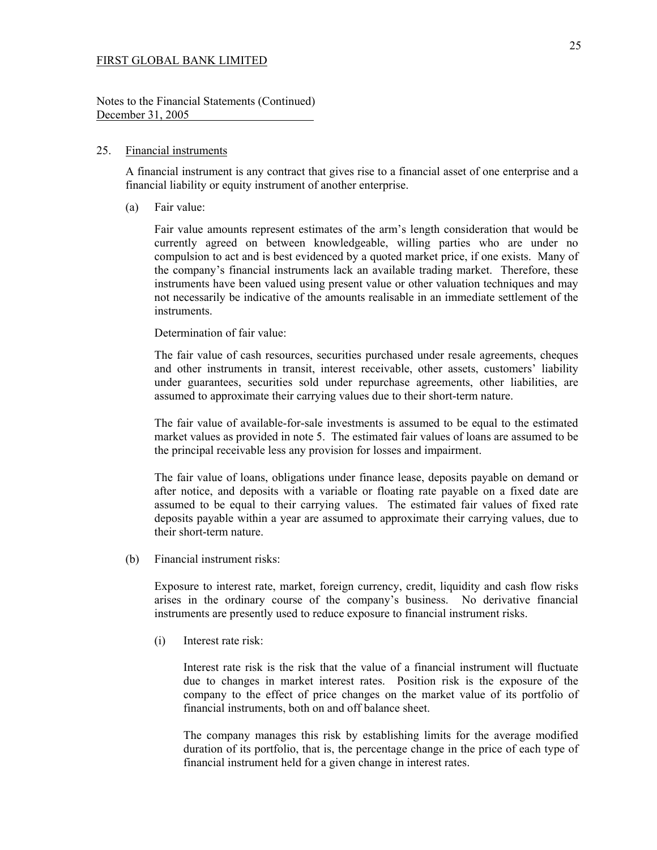Notes to the Financial Statements (Continued) December 31, 2005

#### 25. Financial instruments

 A financial instrument is any contract that gives rise to a financial asset of one enterprise and a financial liability or equity instrument of another enterprise.

(a) Fair value:

Fair value amounts represent estimates of the arm's length consideration that would be currently agreed on between knowledgeable, willing parties who are under no compulsion to act and is best evidenced by a quoted market price, if one exists. Many of the company's financial instruments lack an available trading market. Therefore, these instruments have been valued using present value or other valuation techniques and may not necessarily be indicative of the amounts realisable in an immediate settlement of the instruments.

### Determination of fair value:

The fair value of cash resources, securities purchased under resale agreements, cheques and other instruments in transit, interest receivable, other assets, customers' liability under guarantees, securities sold under repurchase agreements, other liabilities, are assumed to approximate their carrying values due to their short-term nature.

The fair value of available-for-sale investments is assumed to be equal to the estimated market values as provided in note 5. The estimated fair values of loans are assumed to be the principal receivable less any provision for losses and impairment.

The fair value of loans, obligations under finance lease, deposits payable on demand or after notice, and deposits with a variable or floating rate payable on a fixed date are assumed to be equal to their carrying values. The estimated fair values of fixed rate deposits payable within a year are assumed to approximate their carrying values, due to their short-term nature.

(b) Financial instrument risks:

Exposure to interest rate, market, foreign currency, credit, liquidity and cash flow risks arises in the ordinary course of the company's business. No derivative financial instruments are presently used to reduce exposure to financial instrument risks.

(i) Interest rate risk:

Interest rate risk is the risk that the value of a financial instrument will fluctuate due to changes in market interest rates. Position risk is the exposure of the company to the effect of price changes on the market value of its portfolio of financial instruments, both on and off balance sheet.

The company manages this risk by establishing limits for the average modified duration of its portfolio, that is, the percentage change in the price of each type of financial instrument held for a given change in interest rates.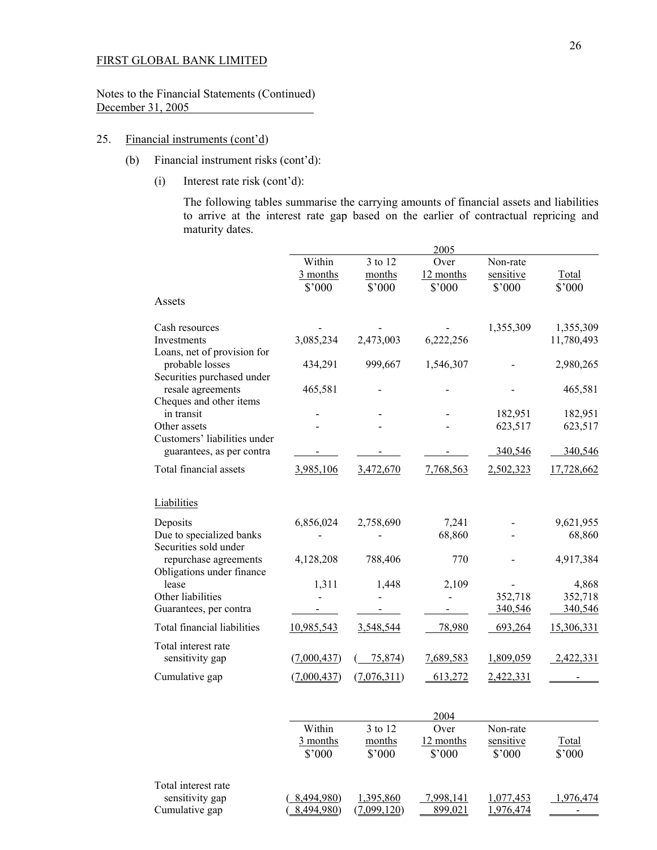Notes to the Financial Statements (Continued) December 31, 2005

## 25. Financial instruments (cont'd)

- (b) Financial instrument risks (cont'd):
	- (i) Interest rate risk (cont'd):

The following tables summarise the carrying amounts of financial assets and liabilities to arrive at the interest rate gap based on the earlier of contractual repricing and maturity dates.

|                                                                              |                                                  |                             | 2005                        |                                 |                             |
|------------------------------------------------------------------------------|--------------------------------------------------|-----------------------------|-----------------------------|---------------------------------|-----------------------------|
|                                                                              | Within<br>$\frac{3 \text{ months}}{2}$<br>\$'000 | 3 to 12<br>months<br>\$'000 | Over<br>12 months<br>\$'000 | Non-rate<br>sensitive<br>\$'000 | Total<br>\$'000             |
| Assets                                                                       |                                                  |                             |                             |                                 |                             |
| Cash resources<br>Investments                                                | 3,085,234                                        | 2,473,003                   | 6,222,256                   | 1,355,309                       | 1,355,309<br>11,780,493     |
| Loans, net of provision for<br>probable losses<br>Securities purchased under | 434,291                                          | 999,667                     | 1,546,307                   |                                 | 2,980,265                   |
| resale agreements<br>Cheques and other items                                 | 465,581                                          |                             |                             |                                 | 465,581                     |
| in transit<br>Other assets<br>Customers' liabilities under                   |                                                  |                             |                             | 182,951<br>623,517              | 182,951<br>623,517          |
| guarantees, as per contra                                                    |                                                  |                             |                             | 340,546                         | 340,546                     |
| Total financial assets                                                       | 3,985,106                                        | 3,472,670                   | 7,768,563                   | 2,502,323                       | 17,728,662                  |
| Liabilities                                                                  |                                                  |                             |                             |                                 |                             |
| Deposits<br>Due to specialized banks<br>Securities sold under                | 6,856,024                                        | 2,758,690                   | 7,241<br>68,860             |                                 | 9,621,955<br>68,860         |
| repurchase agreements<br>Obligations under finance                           | 4,128,208                                        | 788,406                     | 770                         |                                 | 4,917,384                   |
| lease<br>Other liabilities<br>Guarantees, per contra                         | 1,311                                            | 1,448                       | 2,109<br>$\overline{a}$     | 352,718<br>340,546              | 4,868<br>352,718<br>340,546 |
| Total financial liabilities                                                  | 10,985,543                                       | 3,548,544                   | 78,980                      | 693,264                         | 15,306,331                  |
| Total interest rate<br>sensitivity gap                                       | (7,000,437)                                      | 75,874)                     | 7,689,583                   | 1,809,059                       | 2,422,331                   |
| Cumulative gap                                                               | (7,000,437)                                      | (7,076,311)                 | 613,272                     | 2,422,331                       |                             |
|                                                                              |                                                  |                             | 2004                        |                                 |                             |
|                                                                              | Within<br>3 months<br>\$'000                     | 3 to 12<br>months<br>\$'000 | Over<br>12 months<br>\$'000 | Non-rate<br>sensitive<br>\$'000 | Total<br>\$'000             |
| Total interest rate<br>sensitivity gap<br>Cumulative gap                     | 8,494,980)<br>8,494,980)                         | 1,395,860<br>(7,099,120)    | 7,998,141<br>899,021        | 1,077,453<br>1,976,474          | 1,976,474                   |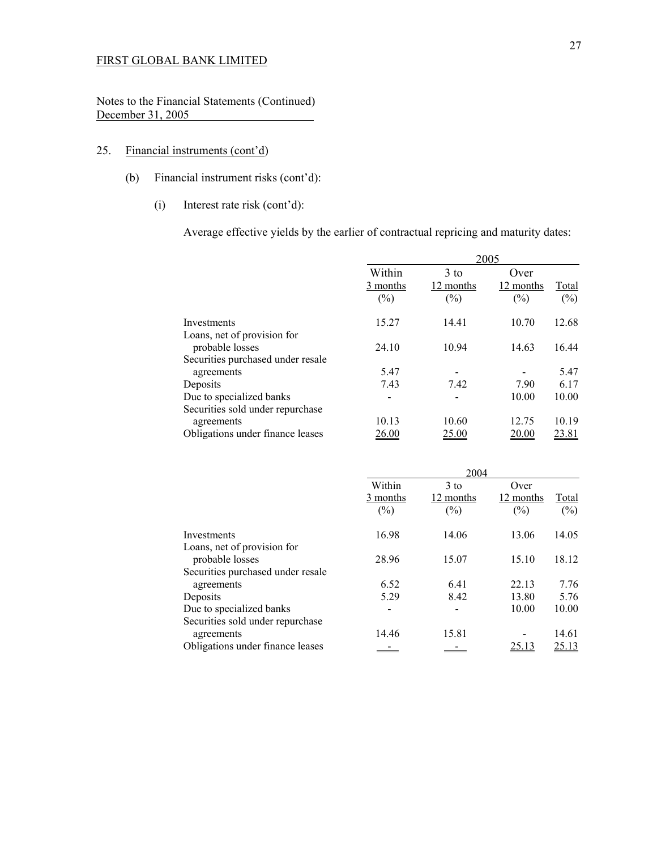Notes to the Financial Statements (Continued) December 31, 2005

## 25. Financial instruments (cont'd)

- (b) Financial instrument risks (cont'd):
	- (i) Interest rate risk (cont'd):

Average effective yields by the earlier of contractual repricing and maturity dates:

|                                                 | 2005                         |                               |                             |                 |
|-------------------------------------------------|------------------------------|-------------------------------|-----------------------------|-----------------|
|                                                 | Within<br>3 months<br>$(\%)$ | $3$ to<br>12 months<br>$(\%)$ | Over<br>12 months<br>$(\%)$ | Total<br>$(\%)$ |
| Investments                                     | 15.27                        | 14.41                         | 10.70                       | 12.68           |
| Loans, net of provision for<br>probable losses  | 24.10                        | 10.94                         | 14.63                       | 16.44           |
| Securities purchased under resale<br>agreements | 5.47                         |                               |                             | 5.47            |
| Deposits                                        | 7.43                         | 7.42                          | 7.90                        | 6.17            |
| Due to specialized banks                        |                              |                               | 10.00                       | 10.00           |
| Securities sold under repurchase                |                              |                               |                             |                 |
| agreements                                      | 10.13                        | 10.60                         | 12.75                       | 10.19           |
| Obligations under finance leases                | 26.00                        | <u>25.00</u>                  | 20.00                       | 23.81           |

|                                                | 2004                         |                               |                             |                 |
|------------------------------------------------|------------------------------|-------------------------------|-----------------------------|-----------------|
|                                                | Within<br>3 months<br>$(\%)$ | $3$ to<br>12 months<br>$(\%)$ | Over<br>12 months<br>$(\%)$ | Total<br>$(\%)$ |
| Investments                                    | 16.98                        | 14.06                         | 13.06                       | 14.05           |
| Loans, net of provision for<br>probable losses | 28.96                        | 15.07                         | 15.10                       | 18.12           |
| Securities purchased under resale              |                              |                               |                             |                 |
| agreements                                     | 6.52                         | 6.41                          | 22.13                       | 7.76            |
| Deposits                                       | 5.29                         | 8.42                          | 13.80                       | 5.76            |
| Due to specialized banks                       | -                            |                               | 10.00                       | 10.00           |
| Securities sold under repurchase               |                              |                               |                             |                 |
| agreements                                     | 14.46                        | 15.81                         |                             | 14.61           |
| Obligations under finance leases               |                              |                               | 25.13                       | 25.13           |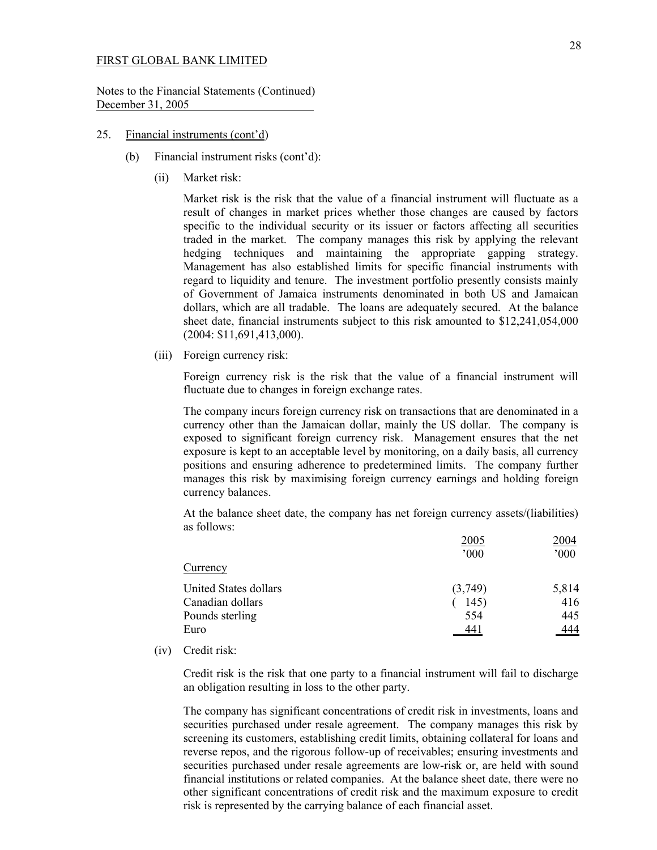Notes to the Financial Statements (Continued) December 31, 2005

#### 25. Financial instruments (cont'd)

- (b) Financial instrument risks (cont'd):
	- (ii) Market risk:

Market risk is the risk that the value of a financial instrument will fluctuate as a result of changes in market prices whether those changes are caused by factors specific to the individual security or its issuer or factors affecting all securities traded in the market. The company manages this risk by applying the relevant hedging techniques and maintaining the appropriate gapping strategy. Management has also established limits for specific financial instruments with regard to liquidity and tenure. The investment portfolio presently consists mainly of Government of Jamaica instruments denominated in both US and Jamaican dollars, which are all tradable. The loans are adequately secured. At the balance sheet date, financial instruments subject to this risk amounted to \$12,241,054,000 (2004: \$11,691,413,000).

(iii) Foreign currency risk:

 Foreign currency risk is the risk that the value of a financial instrument will fluctuate due to changes in foreign exchange rates.

 The company incurs foreign currency risk on transactions that are denominated in a currency other than the Jamaican dollar, mainly the US dollar. The company is exposed to significant foreign currency risk. Management ensures that the net exposure is kept to an acceptable level by monitoring, on a daily basis, all currency positions and ensuring adherence to predetermined limits. The company further manages this risk by maximising foreign currency earnings and holding foreign currency balances.

 At the balance sheet date, the company has net foreign currency assets/(liabilities) as follows:

|                       | 2005    | 2004       |
|-----------------------|---------|------------|
|                       | 000     | 000        |
| Currency              |         |            |
| United States dollars | (3,749) | 5,814      |
| Canadian dollars      | 145)    | 416        |
| Pounds sterling       | 554     | 445        |
| Euro                  | 441     | <u>444</u> |
|                       |         |            |

(iv) Credit risk:

 Credit risk is the risk that one party to a financial instrument will fail to discharge an obligation resulting in loss to the other party.

 The company has significant concentrations of credit risk in investments, loans and securities purchased under resale agreement. The company manages this risk by screening its customers, establishing credit limits, obtaining collateral for loans and reverse repos, and the rigorous follow-up of receivables; ensuring investments and securities purchased under resale agreements are low-risk or, are held with sound financial institutions or related companies. At the balance sheet date, there were no other significant concentrations of credit risk and the maximum exposure to credit risk is represented by the carrying balance of each financial asset.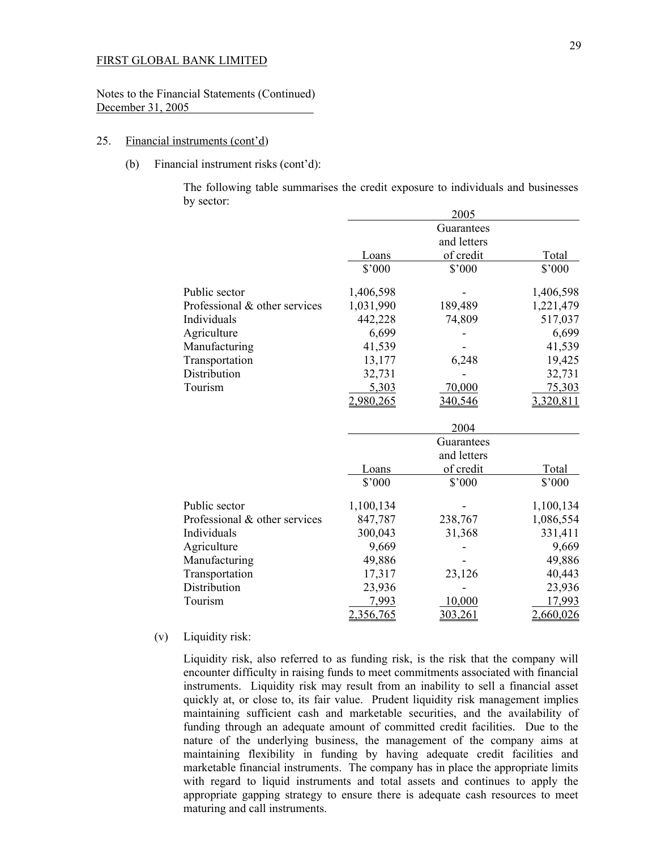Notes to the Financial Statements (Continued) December 31, 2005

#### 25. Financial instruments (cont'd)

(b) Financial instrument risks (cont'd):

 The following table summarises the credit exposure to individuals and businesses by sector:

|                               |           | 2005        |           |
|-------------------------------|-----------|-------------|-----------|
|                               |           | Guarantees  |           |
|                               |           | and letters |           |
|                               | Loans     | of credit   | Total     |
|                               | \$'000    | \$'000      | \$'000    |
| Public sector                 | 1,406,598 |             | 1,406,598 |
| Professional & other services | 1,031,990 | 189,489     | 1,221,479 |
| Individuals                   | 442,228   | 74,809      | 517,037   |
| Agriculture                   | 6,699     |             | 6,699     |
| Manufacturing                 | 41,539    |             | 41,539    |
| Transportation                | 13,177    | 6,248       | 19,425    |
| Distribution                  | 32,731    |             | 32,731    |
| Tourism                       | 5,303     | 70,000      | 75,303    |
|                               | 2,980,265 | 340,546     | 3,320,811 |
|                               |           | 2004        |           |
|                               |           | Guarantees  |           |
|                               |           | and letters |           |
|                               | Loans     | of credit   | Total     |
|                               | \$'000    | \$'000      | \$'000    |
| Public sector                 | 1,100,134 |             | 1,100,134 |
| Professional & other services | 847,787   | 238,767     | 1,086,554 |
| Individuals                   | 300,043   | 31,368      | 331,411   |
| Agriculture                   | 9,669     |             | 9,669     |
| Manufacturing                 | 49,886    |             | 49,886    |
| Transportation                | 17,317    | 23,126      | 40,443    |
| Distribution                  | 23,936    |             | 23,936    |
| Tourism                       | 7,993     | 10,000      | 17,993    |
|                               | 2,356,765 | 303,261     | 2,660,026 |

### (v) Liquidity risk:

Liquidity risk, also referred to as funding risk, is the risk that the company will encounter difficulty in raising funds to meet commitments associated with financial instruments. Liquidity risk may result from an inability to sell a financial asset quickly at, or close to, its fair value. Prudent liquidity risk management implies maintaining sufficient cash and marketable securities, and the availability of funding through an adequate amount of committed credit facilities. Due to the nature of the underlying business, the management of the company aims at maintaining flexibility in funding by having adequate credit facilities and marketable financial instruments. The company has in place the appropriate limits with regard to liquid instruments and total assets and continues to apply the appropriate gapping strategy to ensure there is adequate cash resources to meet maturing and call instruments.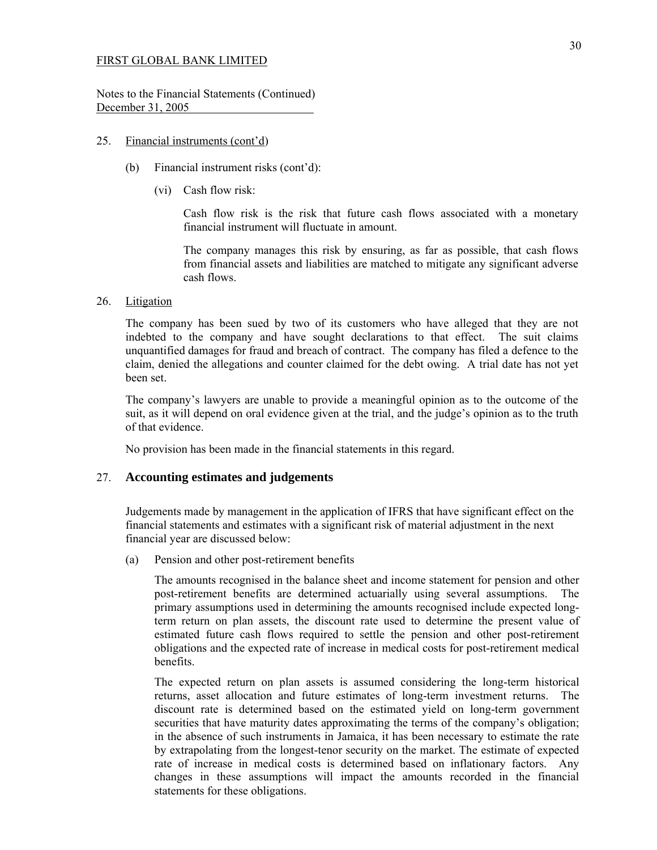Notes to the Financial Statements (Continued) December 31, 2005

### 25. Financial instruments (cont'd)

- (b) Financial instrument risks (cont'd):  $\overline{a}$ 
	- (vi) Cash flow risk:

 Cash flow risk is the risk that future cash flows associated with a monetary financial instrument will fluctuate in amount.

 The company manages this risk by ensuring, as far as possible, that cash flows from financial assets and liabilities are matched to mitigate any significant adverse cash flows.

## 26. Litigation

 The company has been sued by two of its customers who have alleged that they are not indebted to the company and have sought declarations to that effect. The suit claims unquantified damages for fraud and breach of contract. The company has filed a defence to the claim, denied the allegations and counter claimed for the debt owing. A trial date has not yet been set.

 The company's lawyers are unable to provide a meaningful opinion as to the outcome of the suit, as it will depend on oral evidence given at the trial, and the judge's opinion as to the truth of that evidence.

No provision has been made in the financial statements in this regard.

## 27. **Accounting estimates and judgements**

 Judgements made by management in the application of IFRS that have significant effect on the financial statements and estimates with a significant risk of material adjustment in the next financial year are discussed below:

(a) Pension and other post-retirement benefits

 The amounts recognised in the balance sheet and income statement for pension and other post-retirement benefits are determined actuarially using several assumptions. The primary assumptions used in determining the amounts recognised include expected longterm return on plan assets, the discount rate used to determine the present value of estimated future cash flows required to settle the pension and other post-retirement obligations and the expected rate of increase in medical costs for post-retirement medical benefits.

 The expected return on plan assets is assumed considering the long-term historical returns, asset allocation and future estimates of long-term investment returns. The discount rate is determined based on the estimated yield on long-term government securities that have maturity dates approximating the terms of the company's obligation; in the absence of such instruments in Jamaica, it has been necessary to estimate the rate by extrapolating from the longest-tenor security on the market. The estimate of expected rate of increase in medical costs is determined based on inflationary factors. Any changes in these assumptions will impact the amounts recorded in the financial statements for these obligations.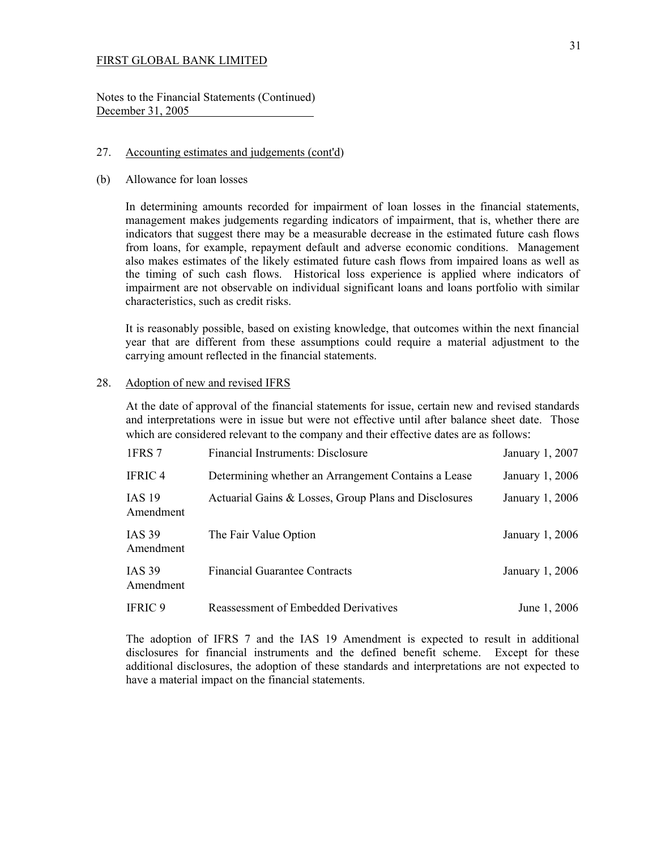Notes to the Financial Statements (Continued) December 31, 2005

#### 27. Accounting estimates and judgements (cont'd)

(b) Allowance for loan losses

 In determining amounts recorded for impairment of loan losses in the financial statements, management makes judgements regarding indicators of impairment, that is, whether there are indicators that suggest there may be a measurable decrease in the estimated future cash flows from loans, for example, repayment default and adverse economic conditions. Management also makes estimates of the likely estimated future cash flows from impaired loans as well as the timing of such cash flows. Historical loss experience is applied where indicators of impairment are not observable on individual significant loans and loans portfolio with similar characteristics, such as credit risks.

 It is reasonably possible, based on existing knowledge, that outcomes within the next financial year that are different from these assumptions could require a material adjustment to the carrying amount reflected in the financial statements.

## 28. Adoption of new and revised IFRS

At the date of approval of the financial statements for issue, certain new and revised standards and interpretations were in issue but were not effective until after balance sheet date. Those which are considered relevant to the company and their effective dates are as follows:

| 1FRS 7                     | Financial Instruments: Disclosure                     | January 1, 2007 |
|----------------------------|-------------------------------------------------------|-----------------|
| <b>IFRIC4</b>              | Determining whether an Arrangement Contains a Lease   | January 1, 2006 |
| <b>IAS 19</b><br>Amendment | Actuarial Gains & Losses, Group Plans and Disclosures | January 1, 2006 |
| <b>IAS 39</b><br>Amendment | The Fair Value Option                                 | January 1, 2006 |
| <b>IAS 39</b><br>Amendment | <b>Financial Guarantee Contracts</b>                  | January 1, 2006 |
| <b>IFRIC 9</b>             | <b>Reassessment of Embedded Derivatives</b>           | June 1, 2006    |

The adoption of IFRS 7 and the IAS 19 Amendment is expected to result in additional disclosures for financial instruments and the defined benefit scheme. Except for these additional disclosures, the adoption of these standards and interpretations are not expected to have a material impact on the financial statements.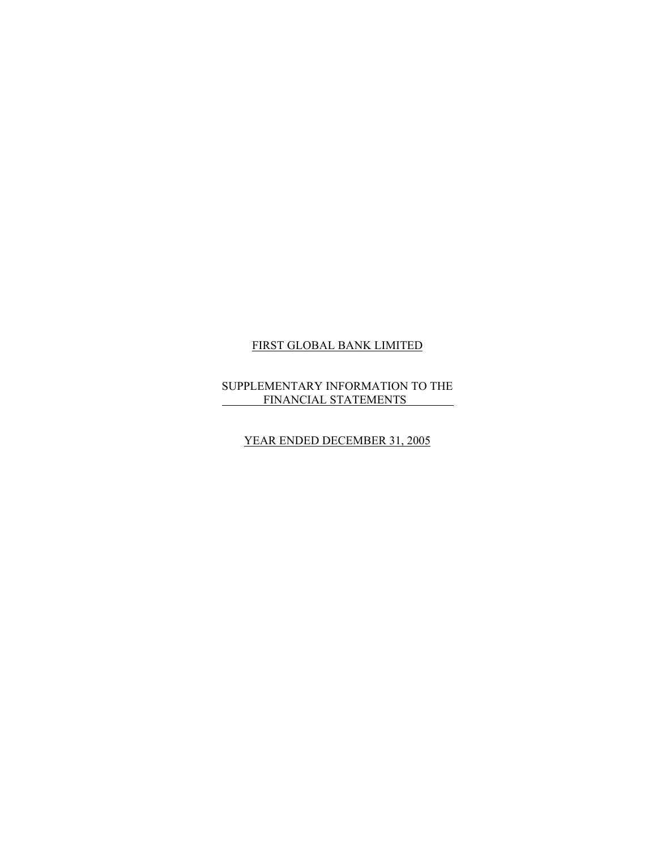## SUPPLEMENTARY INFORMATION TO THE **FINANCIAL STATEMENTS**

## YEAR ENDED DECEMBER 31, 2005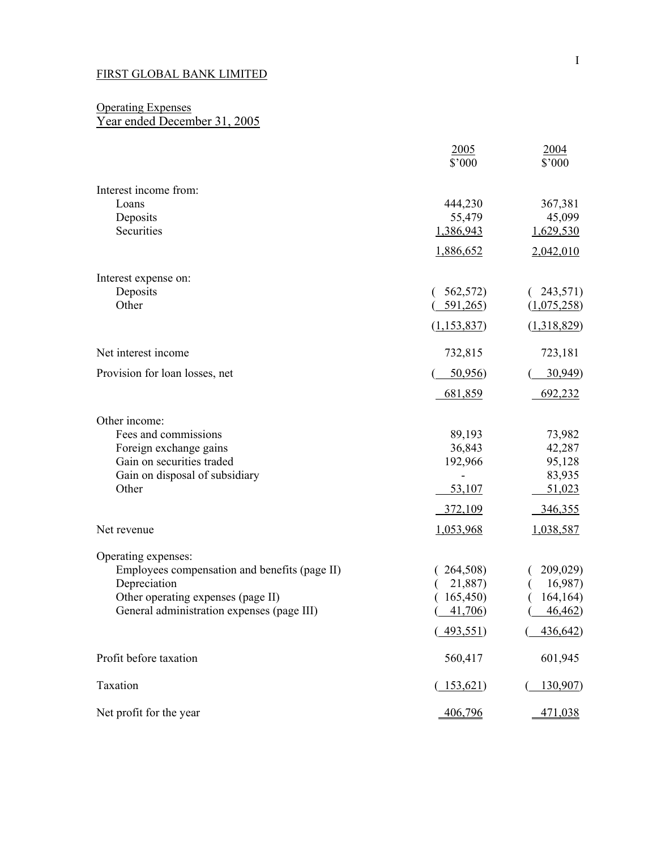## **Operating Expenses** Year ended December 31, 2005

|                                               | 2005<br>\$'000 | 2004<br>$$^{\circ}000$ |
|-----------------------------------------------|----------------|------------------------|
| Interest income from:                         |                |                        |
| Loans                                         | 444,230        | 367,381                |
| Deposits                                      | 55,479         | 45,099                 |
| Securities                                    | 1,386,943      | 1,629,530              |
|                                               | 1,886,652      | 2,042,010              |
| Interest expense on:                          |                |                        |
| Deposits                                      | 562,572)       | 243,571)               |
| Other                                         | 591,265        | (1,075,258)            |
|                                               | (1, 153, 837)  | (1,318,829)            |
| Net interest income                           | 732,815        | 723,181                |
| Provision for loan losses, net                | 50,956         | 30,949)                |
|                                               | 681,859        | 692,232                |
| Other income:                                 |                |                        |
| Fees and commissions                          | 89,193         | 73,982                 |
| Foreign exchange gains                        | 36,843         | 42,287                 |
| Gain on securities traded                     | 192,966        | 95,128                 |
| Gain on disposal of subsidiary<br>Other       | 53,107         | 83,935<br>51,023       |
|                                               |                |                        |
|                                               | 372,109        | 346,355                |
| Net revenue                                   | 1,053,968      | 1,038,587              |
| Operating expenses:                           |                |                        |
| Employees compensation and benefits (page II) | 264,508)       | 209,029)               |
| Depreciation                                  | 21,887)        | 16,987)                |
| Other operating expenses (page II)            | 165,450)       | 164, 164)<br>46,462)   |
| General administration expenses (page III)    | 41,706         |                        |
|                                               | 493,551)       | 436,642)               |
| Profit before taxation                        | 560,417        | 601,945                |
| Taxation                                      | (153,621)      | 130,907)               |
| Net profit for the year                       | 406,796        | 471,038                |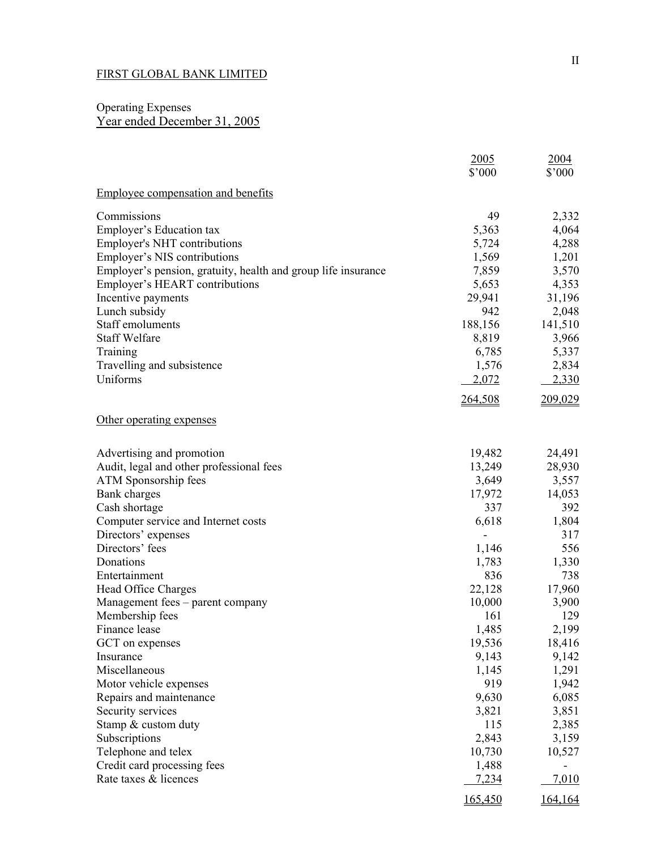## Operating Expenses Year ended December 31, 2005

|                                                               | 2005          | 2004         |
|---------------------------------------------------------------|---------------|--------------|
|                                                               | \$'000        | \$'000       |
| <b>Employee compensation and benefits</b>                     |               |              |
| Commissions                                                   | 49            | 2,332        |
| Employer's Education tax                                      | 5,363         | 4,064        |
| <b>Employer's NHT contributions</b>                           | 5,724         | 4,288        |
| Employer's NIS contributions                                  | 1,569         | 1,201        |
| Employer's pension, gratuity, health and group life insurance | 7,859         | 3,570        |
| Employer's HEART contributions                                | 5,653         | 4,353        |
| Incentive payments                                            | 29,941        | 31,196       |
| Lunch subsidy                                                 | 942           | 2,048        |
| Staff emoluments                                              | 188,156       | 141,510      |
| <b>Staff Welfare</b>                                          | 8,819         | 3,966        |
| Training                                                      | 6,785         | 5,337        |
| Travelling and subsistence                                    | 1,576         | 2,834        |
| Uniforms                                                      | 2,072         | 2,330        |
|                                                               | 264,508       | 209,029      |
| Other operating expenses                                      |               |              |
| Advertising and promotion                                     | 19,482        | 24,491       |
| Audit, legal and other professional fees                      | 13,249        | 28,930       |
| ATM Sponsorship fees                                          | 3,649         | 3,557        |
| Bank charges                                                  | 17,972        | 14,053       |
| Cash shortage                                                 | 337           | 392          |
| Computer service and Internet costs                           | 6,618         | 1,804        |
| Directors' expenses                                           |               | 317          |
| Directors' fees                                               | 1,146         | 556          |
| Donations                                                     | 1,783         | 1,330        |
| Entertainment                                                 | 836           | 738          |
| Head Office Charges                                           | 22,128        | 17,960       |
| Management fees – parent company<br>Membership fees           | 10,000<br>161 | 3,900<br>129 |
| Finance lease                                                 | 1,485         | 2,199        |
| GCT on expenses                                               | 19,536        | 18,416       |
| Insurance                                                     | 9,143         | 9,142        |
| Miscellaneous                                                 | 1,145         | 1,291        |
| Motor vehicle expenses                                        | 919           | 1,942        |
| Repairs and maintenance                                       | 9,630         | 6,085        |
| Security services                                             | 3,821         | 3,851        |
| Stamp & custom duty                                           | 115           | 2,385        |
| Subscriptions                                                 | 2,843         | 3,159        |
| Telephone and telex                                           | 10,730        | 10,527       |
| Credit card processing fees                                   | 1,488         |              |
| Rate taxes & licences                                         | 7,234         | 7,010        |
|                                                               | 165,450       | 164,164      |